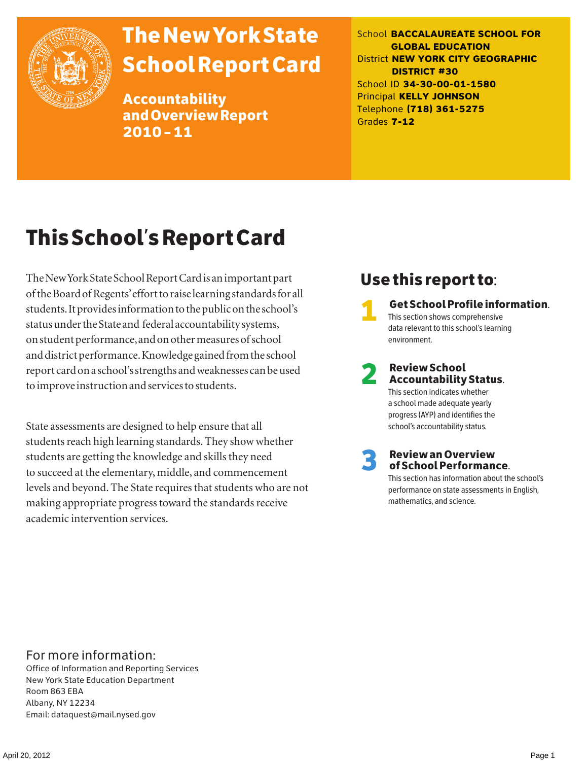

# The New York State School Report Card

Accountability and Overview Report 2010–11

School **BACCALAUREATE SCHOOL FOR GLOBAL EDUCATION** District **NEW YORK CITY GEOGRAPHIC DISTRICT #30** School ID **34-30-00-01-1580** Principal **KELLY JOHNSON** Telephone **(718) 361-5275** Grades **7-12**

# This School's Report Card

The New York State School Report Card is an important part of the Board of Regents' effort to raise learning standards for all students. It provides information to the public on the school's status under the State and federal accountability systems, on student performance, and on other measures of school and district performance. Knowledge gained from the school report card on a school's strengths and weaknesses can be used to improve instruction and services to students.

State assessments are designed to help ensure that all students reach high learning standards. They show whether students are getting the knowledge and skills they need to succeed at the elementary, middle, and commencement levels and beyond. The State requires that students who are not making appropriate progress toward the standards receive academic intervention services.

# Use this report to:

1 Get School Profile information. This section shows comprehensive data relevant to this school's learning environment.

# 2 Review School Accountability Status. This section indicates whether

a school made adequate yearly progress (AYP) and identifies the school's accountability status.

3 Review an Overview of School Performance.

This section has information about the school's performance on state assessments in English, mathematics, and science.

## For more information:

Office of Information and Reporting Services New York State Education Department Room 863 EBA Albany, NY 12234 Email: dataquest@mail.nysed.gov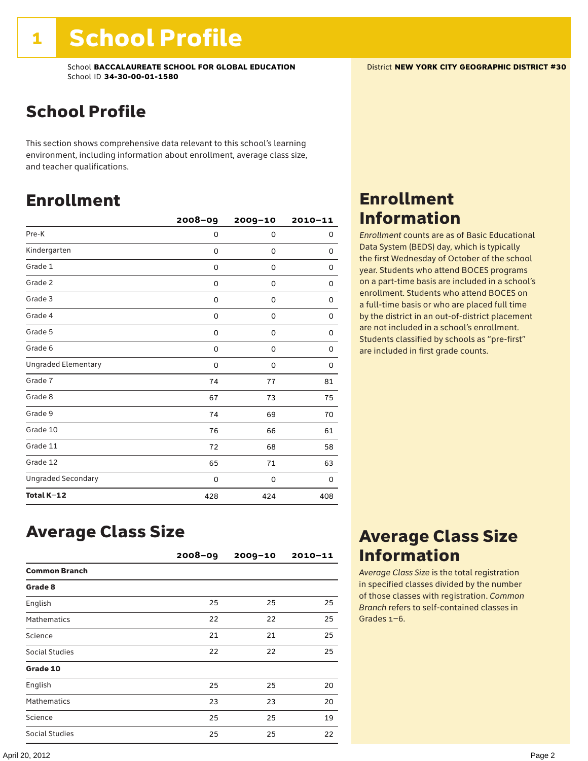# School Profile

This section shows comprehensive data relevant to this school's learning environment, including information about enrollment, average class size, and teacher qualifications.

# Enrollment

|                            | 2008-09 | 2009-10     | $2010 - 11$ |
|----------------------------|---------|-------------|-------------|
| Pre-K                      | 0       | 0           | 0           |
| Kindergarten               | 0       | 0           | 0           |
| Grade 1                    | 0       | 0           | 0           |
| Grade 2                    | 0       | 0           | 0           |
| Grade 3                    | 0       | $\mathbf 0$ | 0           |
| Grade 4                    | 0       | 0           | 0           |
| Grade 5                    | 0       | $\mathbf 0$ | 0           |
| Grade 6                    | 0       | 0           | 0           |
| <b>Ungraded Elementary</b> | 0       | $\mathbf 0$ | 0           |
| Grade 7                    | 74      | 77          | 81          |
| Grade 8                    | 67      | 73          | 75          |
| Grade 9                    | 74      | 69          | 70          |
| Grade 10                   | 76      | 66          | 61          |
| Grade 11                   | 72      | 68          | 58          |
| Grade 12                   | 65      | 71          | 63          |
| <b>Ungraded Secondary</b>  | 0       | 0           | 0           |
| Total K-12                 | 428     | 424         | 408         |

# Enrollment Information

*Enrollment* counts are as of Basic Educational Data System (BEDS) day, which is typically the first Wednesday of October of the school year. Students who attend BOCES programs on a part-time basis are included in a school's enrollment. Students who attend BOCES on a full-time basis or who are placed full time by the district in an out-of-district placement are not included in a school's enrollment. Students classified by schools as "pre-first" are included in first grade counts.

## Average Class Size

|                      | $2008 - 09$ | $2009 - 10$ | $2010 - 11$ |
|----------------------|-------------|-------------|-------------|
| <b>Common Branch</b> |             |             |             |
| Grade 8              |             |             |             |
| English              | 25          | 25          | 25          |
| <b>Mathematics</b>   | 22          | 22          | 25          |
| Science              | 21          | 21          | 25          |
| Social Studies       | 22          | 22          | 25          |
| Grade 10             |             |             |             |
| English              | 25          | 25          | 20          |
| <b>Mathematics</b>   | 23          | 23          | 20          |
| Science              | 25          | 25          | 19          |
| Social Studies       | 25          | 25          | 22          |

# Average Class Size Information

*Average Class Size* is the total registration in specified classes divided by the number of those classes with registration. *Common Branch* refers to self-contained classes in Grades 1–6.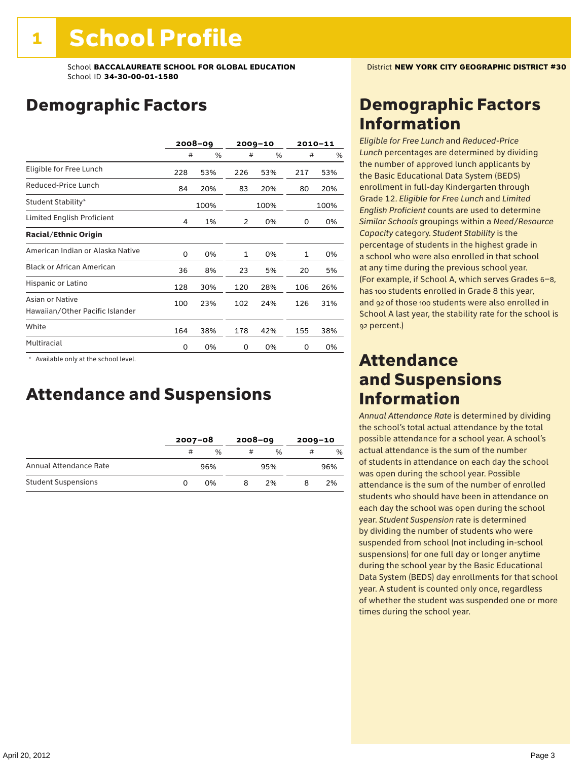# Demographic Factors

|                                                    | 2008-09 |      |     | $2009 - 10$ |     | 2010-11 |
|----------------------------------------------------|---------|------|-----|-------------|-----|---------|
|                                                    | #       | %    | #   | %           | #   | %       |
| Eligible for Free Lunch                            | 228     | 53%  | 226 | 53%         | 217 | 53%     |
| Reduced-Price Lunch                                | 84      | 20%  | 83  | 20%         | 80  | 20%     |
| Student Stability*                                 |         | 100% |     | 100%        |     | 100%    |
| Limited English Proficient                         | 4       | 1%   | 2   | 0%          | 0   | 0%      |
| <b>Racial/Ethnic Origin</b>                        |         |      |     |             |     |         |
| American Indian or Alaska Native                   | 0       | 0%   | 1   | 0%          | 1   | 0%      |
| <b>Black or African American</b>                   | 36      | 8%   | 23  | 5%          | 20  | 5%      |
| Hispanic or Latino                                 | 128     | 30%  | 120 | 28%         | 106 | 26%     |
| Asian or Native<br>Hawaiian/Other Pacific Islander | 100     | 23%  | 102 | 24%         | 126 | 31%     |
| White                                              | 164     | 38%  | 178 | 42%         | 155 | 38%     |
| Multiracial                                        | 0       | 0%   | 0   | 0%          | 0   | 0%      |

 \* Available only at the school level.

# Attendance and Suspensions

|                            |   | $2007 - 08$ |   | $2008 - 09$   |   | $2009 - 10$ |  |
|----------------------------|---|-------------|---|---------------|---|-------------|--|
|                            | # | %           | # | $\frac{0}{6}$ | # | $\%$        |  |
| Annual Attendance Rate     |   | 96%         |   | 95%           |   | 96%         |  |
| <b>Student Suspensions</b> |   | በ%          |   | 2%            |   | 2%          |  |

# Demographic Factors Information

*Eligible for Free Lunch* and *Reduced*-*Price Lunch* percentages are determined by dividing the number of approved lunch applicants by the Basic Educational Data System (BEDS) enrollment in full-day Kindergarten through Grade 12. *Eligible for Free Lunch* and *Limited English Proficient* counts are used to determine *Similar Schools* groupings within a *Need*/*Resource Capacity* category. *Student Stability* is the percentage of students in the highest grade in a school who were also enrolled in that school at any time during the previous school year. (For example, if School A, which serves Grades 6–8, has 100 students enrolled in Grade 8 this year, and 92 of those 100 students were also enrolled in School A last year, the stability rate for the school is 92 percent.)

# Attendance and Suspensions Information

*Annual Attendance Rate* is determined by dividing the school's total actual attendance by the total possible attendance for a school year. A school's actual attendance is the sum of the number of students in attendance on each day the school was open during the school year. Possible attendance is the sum of the number of enrolled students who should have been in attendance on each day the school was open during the school year. *Student Suspension* rate is determined by dividing the number of students who were suspended from school (not including in-school suspensions) for one full day or longer anytime during the school year by the Basic Educational Data System (BEDS) day enrollments for that school year. A student is counted only once, regardless of whether the student was suspended one or more times during the school year.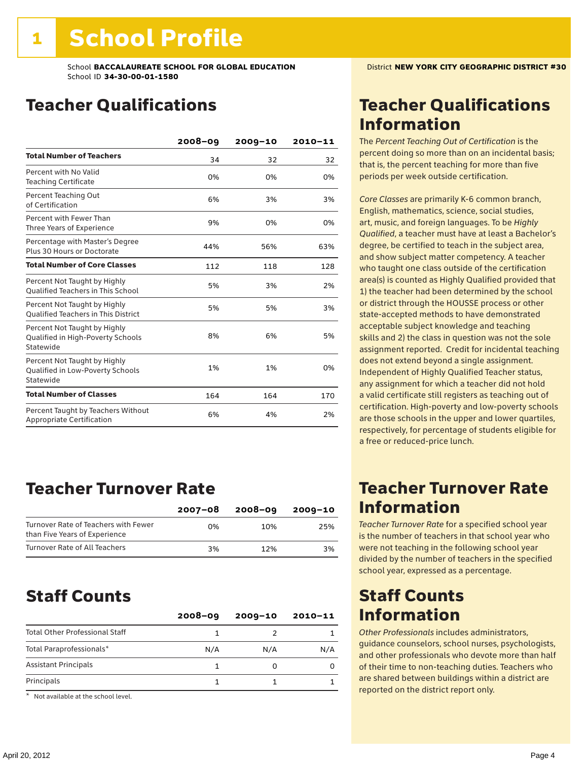# Teacher Qualifications

|                                                                                | 2008-09 | $2009 - 10$ | 2010-11 |
|--------------------------------------------------------------------------------|---------|-------------|---------|
| <b>Total Number of Teachers</b>                                                | 34      | 32          | 32      |
| Percent with No Valid<br><b>Teaching Certificate</b>                           | 0%      | 0%          | 0%      |
| Percent Teaching Out<br>of Certification                                       | 6%      | 3%          | 3%      |
| Percent with Fewer Than<br>Three Years of Experience                           | 9%      | 0%          | 0%      |
| Percentage with Master's Degree<br>Plus 30 Hours or Doctorate                  | 44%     | 56%         | 63%     |
| <b>Total Number of Core Classes</b>                                            | 112     | 118         | 128     |
| Percent Not Taught by Highly<br><b>Oualified Teachers in This School</b>       | 5%      | 3%          | 2%      |
| Percent Not Taught by Highly<br><b>Oualified Teachers in This District</b>     | 5%      | 5%          | 3%      |
| Percent Not Taught by Highly<br>Qualified in High-Poverty Schools<br>Statewide | 8%      | 6%          | 5%      |
| Percent Not Taught by Highly<br>Qualified in Low-Poverty Schools<br>Statewide  | 1%      | 1%          | 0%      |
| <b>Total Number of Classes</b>                                                 | 164     | 164         | 170     |
| Percent Taught by Teachers Without<br>Appropriate Certification                | 6%      | 4%          | 2%      |

# Teacher Turnover Rate

|                                                                       | 2007-08 | 2008-09 | 2009-10 |
|-----------------------------------------------------------------------|---------|---------|---------|
| Turnover Rate of Teachers with Fewer<br>than Five Years of Experience | በ%      | 10%     | 25%     |
| Turnover Rate of All Teachers                                         | 3%      | 12%     | 3%      |

# Staff Counts

|                                       | $2008 - 09$ | $2009 - 10$ | $2010 - 11$ |
|---------------------------------------|-------------|-------------|-------------|
| <b>Total Other Professional Staff</b> |             |             |             |
| Total Paraprofessionals*              | N/A         | N/A         | N/A         |
| <b>Assistant Principals</b>           |             |             |             |
| Principals                            |             |             |             |

\* Not available at the school level.

# Teacher Qualifications Information

The *Percent Teaching Out of Certification* is the percent doing so more than on an incidental basis; that is, the percent teaching for more than five periods per week outside certification.

*Core Classes* are primarily K-6 common branch, English, mathematics, science, social studies, art, music, and foreign languages. To be *Highly Qualified*, a teacher must have at least a Bachelor's degree, be certified to teach in the subject area, and show subject matter competency. A teacher who taught one class outside of the certification area(s) is counted as Highly Qualified provided that 1) the teacher had been determined by the school or district through the HOUSSE process or other state-accepted methods to have demonstrated acceptable subject knowledge and teaching skills and 2) the class in question was not the sole assignment reported. Credit for incidental teaching does not extend beyond a single assignment. Independent of Highly Qualified Teacher status, any assignment for which a teacher did not hold a valid certificate still registers as teaching out of certification. High-poverty and low-poverty schools are those schools in the upper and lower quartiles, respectively, for percentage of students eligible for a free or reduced-price lunch.

# Teacher Turnover Rate Information

*Teacher Turnover Rate* for a specified school year is the number of teachers in that school year who were not teaching in the following school year divided by the number of teachers in the specified school year, expressed as a percentage.

# Staff Counts Information

*Other Professionals* includes administrators, guidance counselors, school nurses, psychologists, and other professionals who devote more than half of their time to non-teaching duties. Teachers who are shared between buildings within a district are reported on the district report only.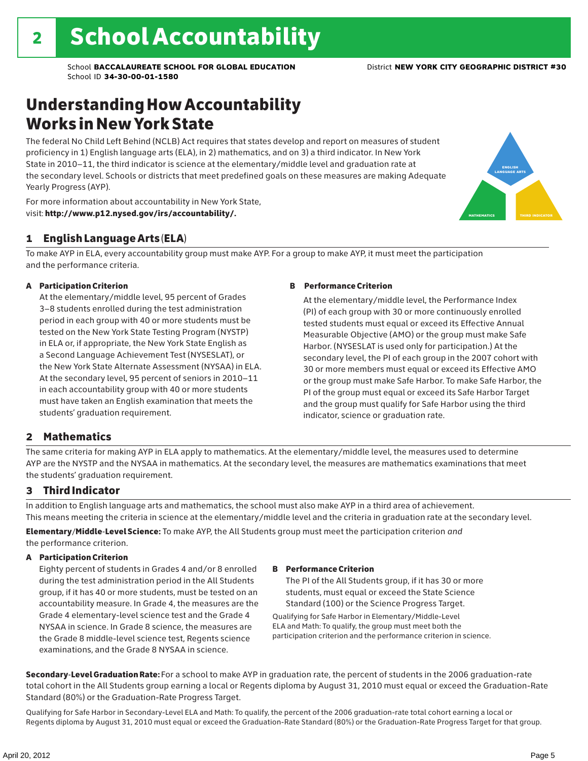# Understanding How Accountability Works in New York State

The federal No Child Left Behind (NCLB) Act requires that states develop and report on measures of student proficiency in 1) English language arts (ELA), in 2) mathematics, and on 3) a third indicator. In New York State in 2010–11, the third indicator is science at the elementary/middle level and graduation rate at the secondary level. Schools or districts that meet predefined goals on these measures are making Adequate Yearly Progress (AYP).



For more information about accountability in New York State, visit: http://www.p12.nysed.gov/irs/accountability/.

## 1 English Language Arts (ELA)

To make AYP in ELA, every accountability group must make AYP. For a group to make AYP, it must meet the participation and the performance criteria.

## A Participation Criterion

At the elementary/middle level, 95 percent of Grades 3–8 students enrolled during the test administration period in each group with 40 or more students must be tested on the New York State Testing Program (NYSTP) in ELA or, if appropriate, the New York State English as a Second Language Achievement Test (NYSESLAT), or the New York State Alternate Assessment (NYSAA) in ELA. At the secondary level, 95 percent of seniors in 2010–11 in each accountability group with 40 or more students must have taken an English examination that meets the students' graduation requirement.

## B Performance Criterion

At the elementary/middle level, the Performance Index (PI) of each group with 30 or more continuously enrolled tested students must equal or exceed its Effective Annual Measurable Objective (AMO) or the group must make Safe Harbor. (NYSESLAT is used only for participation.) At the secondary level, the PI of each group in the 2007 cohort with 30 or more members must equal or exceed its Effective AMO or the group must make Safe Harbor. To make Safe Harbor, the PI of the group must equal or exceed its Safe Harbor Target and the group must qualify for Safe Harbor using the third indicator, science or graduation rate.

## 2 Mathematics

The same criteria for making AYP in ELA apply to mathematics. At the elementary/middle level, the measures used to determine AYP are the NYSTP and the NYSAA in mathematics. At the secondary level, the measures are mathematics examinations that meet the students' graduation requirement.

## 3 Third Indicator

In addition to English language arts and mathematics, the school must also make AYP in a third area of achievement. This means meeting the criteria in science at the elementary/middle level and the criteria in graduation rate at the secondary level.

Elementary/Middle-Level Science: To make AYP, the All Students group must meet the participation criterion *and* the performance criterion.

## A Participation Criterion

Eighty percent of students in Grades 4 and/or 8 enrolled during the test administration period in the All Students group, if it has 40 or more students, must be tested on an accountability measure. In Grade 4, the measures are the Grade 4 elementary-level science test and the Grade 4 NYSAA in science. In Grade 8 science, the measures are the Grade 8 middle-level science test, Regents science examinations, and the Grade 8 NYSAA in science.

## B Performance Criterion

The PI of the All Students group, if it has 30 or more students, must equal or exceed the State Science Standard (100) or the Science Progress Target.

Qualifying for Safe Harbor in Elementary/Middle-Level ELA and Math: To qualify, the group must meet both the participation criterion and the performance criterion in science.

Secondary-Level Graduation Rate: For a school to make AYP in graduation rate, the percent of students in the 2006 graduation-rate total cohort in the All Students group earning a local or Regents diploma by August 31, 2010 must equal or exceed the Graduation-Rate Standard (80%) or the Graduation-Rate Progress Target.

Qualifying for Safe Harbor in Secondary-Level ELA and Math: To qualify, the percent of the 2006 graduation-rate total cohort earning a local or Regents diploma by August 31, 2010 must equal or exceed the Graduation-Rate Standard (80%) or the Graduation-Rate Progress Target for that group.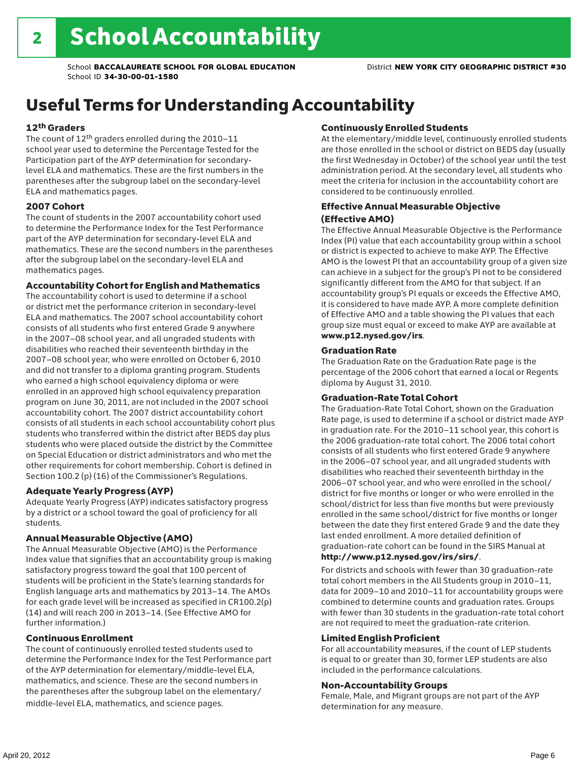# Useful Terms for Understanding Accountability

## 12th Graders

The count of 12th graders enrolled during the 2010–11 school year used to determine the Percentage Tested for the Participation part of the AYP determination for secondarylevel ELA and mathematics. These are the first numbers in the parentheses after the subgroup label on the secondary-level ELA and mathematics pages.

## 2007 Cohort

The count of students in the 2007 accountability cohort used to determine the Performance Index for the Test Performance part of the AYP determination for secondary-level ELA and mathematics. These are the second numbers in the parentheses after the subgroup label on the secondary-level ELA and mathematics pages.

## Accountability Cohort for English and Mathematics

The accountability cohort is used to determine if a school or district met the performance criterion in secondary-level ELA and mathematics. The 2007 school accountability cohort consists of all students who first entered Grade 9 anywhere in the 2007–08 school year, and all ungraded students with disabilities who reached their seventeenth birthday in the 2007–08 school year, who were enrolled on October 6, 2010 and did not transfer to a diploma granting program. Students who earned a high school equivalency diploma or were enrolled in an approved high school equivalency preparation program on June 30, 2011, are not included in the 2007 school accountability cohort. The 2007 district accountability cohort consists of all students in each school accountability cohort plus students who transferred within the district after BEDS day plus students who were placed outside the district by the Committee on Special Education or district administrators and who met the other requirements for cohort membership. Cohort is defined in Section 100.2 (p) (16) of the Commissioner's Regulations.

## Adequate Yearly Progress (AYP)

Adequate Yearly Progress (AYP) indicates satisfactory progress by a district or a school toward the goal of proficiency for all students.

## Annual Measurable Objective (AMO)

The Annual Measurable Objective (AMO) is the Performance Index value that signifies that an accountability group is making satisfactory progress toward the goal that 100 percent of students will be proficient in the State's learning standards for English language arts and mathematics by 2013–14. The AMOs for each grade level will be increased as specified in CR100.2(p) (14) and will reach 200 in 2013–14. (See Effective AMO for further information.)

## Continuous Enrollment

The count of continuously enrolled tested students used to determine the Performance Index for the Test Performance part of the AYP determination for elementary/middle-level ELA, mathematics, and science. These are the second numbers in the parentheses after the subgroup label on the elementary/ middle-level ELA, mathematics, and science pages.

## Continuously Enrolled Students

At the elementary/middle level, continuously enrolled students are those enrolled in the school or district on BEDS day (usually the first Wednesday in October) of the school year until the test administration period. At the secondary level, all students who meet the criteria for inclusion in the accountability cohort are considered to be continuously enrolled.

## Effective Annual Measurable Objective (Effective AMO)

The Effective Annual Measurable Objective is the Performance Index (PI) value that each accountability group within a school or district is expected to achieve to make AYP. The Effective AMO is the lowest PI that an accountability group of a given size can achieve in a subject for the group's PI not to be considered significantly different from the AMO for that subject. If an accountability group's PI equals or exceeds the Effective AMO, it is considered to have made AYP. A more complete definition of Effective AMO and a table showing the PI values that each group size must equal or exceed to make AYP are available at www.p12.nysed.gov/irs.

## Graduation Rate

The Graduation Rate on the Graduation Rate page is the percentage of the 2006 cohort that earned a local or Regents diploma by August 31, 2010.

## Graduation-Rate Total Cohort

The Graduation-Rate Total Cohort, shown on the Graduation Rate page, is used to determine if a school or district made AYP in graduation rate. For the 2010–11 school year, this cohort is the 2006 graduation-rate total cohort. The 2006 total cohort consists of all students who first entered Grade 9 anywhere in the 2006–07 school year, and all ungraded students with disabilities who reached their seventeenth birthday in the 2006–07 school year, and who were enrolled in the school/ district for five months or longer or who were enrolled in the school/district for less than five months but were previously enrolled in the same school/district for five months or longer between the date they first entered Grade 9 and the date they last ended enrollment. A more detailed definition of graduation-rate cohort can be found in the SIRS Manual at

## http://www.p12.nysed.gov/irs/sirs/.

For districts and schools with fewer than 30 graduation-rate total cohort members in the All Students group in 2010–11, data for 2009–10 and 2010–11 for accountability groups were combined to determine counts and graduation rates. Groups with fewer than 30 students in the graduation-rate total cohort are not required to meet the graduation-rate criterion.

## Limited English Proficient

For all accountability measures, if the count of LEP students is equal to or greater than 30, former LEP students are also included in the performance calculations.

## Non-Accountability Groups

Female, Male, and Migrant groups are not part of the AYP determination for any measure.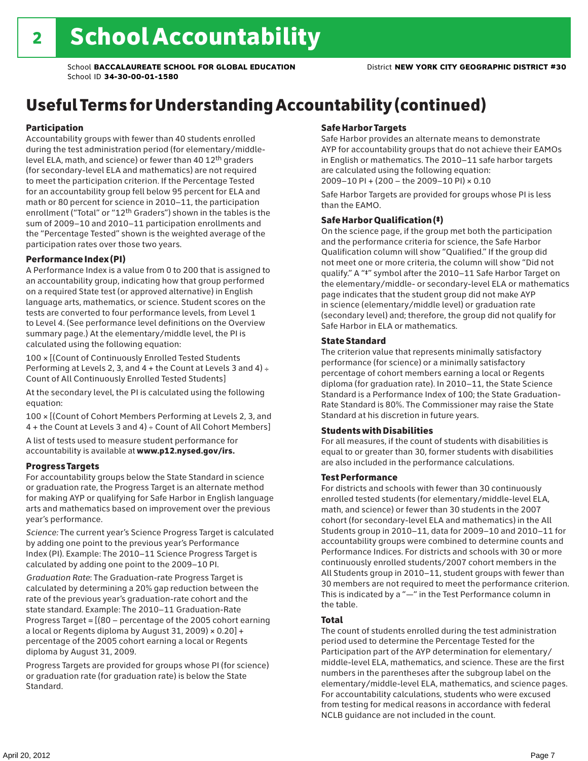# Useful Terms for Understanding Accountability (continued)

## Participation

Accountability groups with fewer than 40 students enrolled during the test administration period (for elementary/middlelevel ELA, math, and science) or fewer than 40 12th graders (for secondary-level ELA and mathematics) are not required to meet the participation criterion. If the Percentage Tested for an accountability group fell below 95 percent for ELA and math or 80 percent for science in 2010–11, the participation enrollment ("Total" or "12th Graders") shown in the tables is the sum of 2009–10 and 2010–11 participation enrollments and the "Percentage Tested" shown is the weighted average of the participation rates over those two years.

## Performance Index (PI)

A Performance Index is a value from 0 to 200 that is assigned to an accountability group, indicating how that group performed on a required State test (or approved alternative) in English language arts, mathematics, or science. Student scores on the tests are converted to four performance levels, from Level 1 to Level 4. (See performance level definitions on the Overview summary page.) At the elementary/middle level, the PI is calculated using the following equation:

100 × [(Count of Continuously Enrolled Tested Students Performing at Levels 2, 3, and  $4 +$  the Count at Levels 3 and  $4) \div$ Count of All Continuously Enrolled Tested Students]

At the secondary level, the PI is calculated using the following equation:

100 × [(Count of Cohort Members Performing at Levels 2, 3, and 4 + the Count at Levels 3 and 4) ÷ Count of All Cohort Members]

A list of tests used to measure student performance for accountability is available at www.p12.nysed.gov/irs.

## Progress Targets

For accountability groups below the State Standard in science or graduation rate, the Progress Target is an alternate method for making AYP or qualifying for Safe Harbor in English language arts and mathematics based on improvement over the previous year's performance.

*Science:* The current year's Science Progress Target is calculated by adding one point to the previous year's Performance Index (PI). Example: The 2010–11 Science Progress Target is calculated by adding one point to the 2009–10 PI.

*Graduation Rate*: The Graduation-rate Progress Target is calculated by determining a 20% gap reduction between the rate of the previous year's graduation-rate cohort and the state standard. Example: The 2010–11 Graduation-Rate Progress Target = [(80 – percentage of the 2005 cohort earning a local or Regents diploma by August 31, 2009)  $\times$  0.20] + percentage of the 2005 cohort earning a local or Regents diploma by August 31, 2009.

Progress Targets are provided for groups whose PI (for science) or graduation rate (for graduation rate) is below the State Standard.

## Safe Harbor Targets

Safe Harbor provides an alternate means to demonstrate AYP for accountability groups that do not achieve their EAMOs in English or mathematics. The 2010–11 safe harbor targets are calculated using the following equation: 2009–10 PI + (200 – the 2009–10 PI) × 0.10

Safe Harbor Targets are provided for groups whose PI is less than the EAMO.

## Safe Harbor Qualification (‡)

On the science page, if the group met both the participation and the performance criteria for science, the Safe Harbor Qualification column will show "Qualified." If the group did not meet one or more criteria, the column will show "Did not qualify." A "‡" symbol after the 2010–11 Safe Harbor Target on the elementary/middle- or secondary-level ELA or mathematics page indicates that the student group did not make AYP in science (elementary/middle level) or graduation rate (secondary level) and; therefore, the group did not qualify for Safe Harbor in ELA or mathematics.

## State Standard

The criterion value that represents minimally satisfactory performance (for science) or a minimally satisfactory percentage of cohort members earning a local or Regents diploma (for graduation rate). In 2010–11, the State Science Standard is a Performance Index of 100; the State Graduation-Rate Standard is 80%. The Commissioner may raise the State Standard at his discretion in future years.

## Students with Disabilities

For all measures, if the count of students with disabilities is equal to or greater than 30, former students with disabilities are also included in the performance calculations.

## Test Performance

For districts and schools with fewer than 30 continuously enrolled tested students (for elementary/middle-level ELA, math, and science) or fewer than 30 students in the 2007 cohort (for secondary-level ELA and mathematics) in the All Students group in 2010–11, data for 2009–10 and 2010–11 for accountability groups were combined to determine counts and Performance Indices. For districts and schools with 30 or more continuously enrolled students/2007 cohort members in the All Students group in 2010–11, student groups with fewer than 30 members are not required to meet the performance criterion. This is indicated by a "—" in the Test Performance column in the table.

## Total

The count of students enrolled during the test administration period used to determine the Percentage Tested for the Participation part of the AYP determination for elementary/ middle-level ELA, mathematics, and science. These are the first numbers in the parentheses after the subgroup label on the elementary/middle-level ELA, mathematics, and science pages. For accountability calculations, students who were excused from testing for medical reasons in accordance with federal NCLB guidance are not included in the count.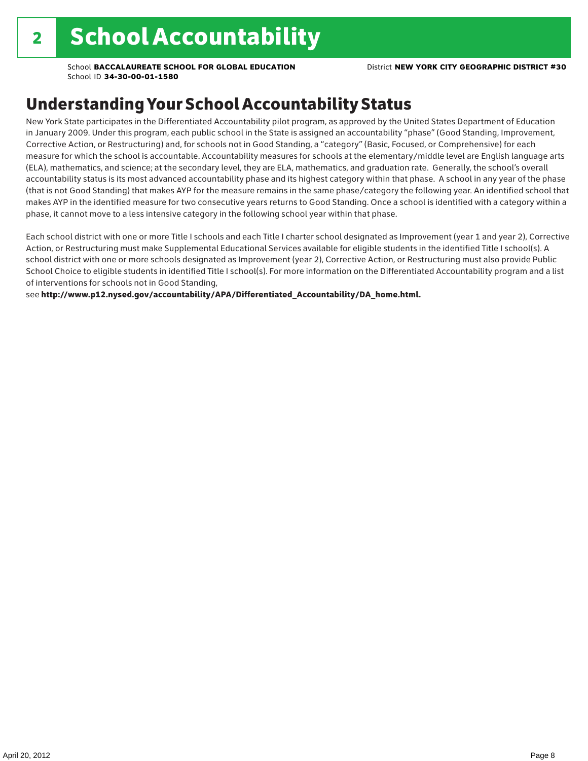# Understanding Your School Accountability Status

New York State participates in the Differentiated Accountability pilot program, as approved by the United States Department of Education in January 2009. Under this program, each public school in the State is assigned an accountability "phase" (Good Standing, Improvement, Corrective Action, or Restructuring) and, for schools not in Good Standing, a "category" (Basic, Focused, or Comprehensive) for each measure for which the school is accountable. Accountability measures for schools at the elementary/middle level are English language arts (ELA), mathematics, and science; at the secondary level, they are ELA, mathematics, and graduation rate. Generally, the school's overall accountability status is its most advanced accountability phase and its highest category within that phase. A school in any year of the phase (that is not Good Standing) that makes AYP for the measure remains in the same phase/category the following year. An identified school that makes AYP in the identified measure for two consecutive years returns to Good Standing. Once a school is identified with a category within a phase, it cannot move to a less intensive category in the following school year within that phase.

Each school district with one or more Title I schools and each Title I charter school designated as Improvement (year 1 and year 2), Corrective Action, or Restructuring must make Supplemental Educational Services available for eligible students in the identified Title I school(s). A school district with one or more schools designated as Improvement (year 2), Corrective Action, or Restructuring must also provide Public School Choice to eligible students in identified Title I school(s). For more information on the Differentiated Accountability program and a list of interventions for schools not in Good Standing,

see http://www.p12.nysed.gov/accountability/APA/Differentiated\_Accountability/DA\_home.html.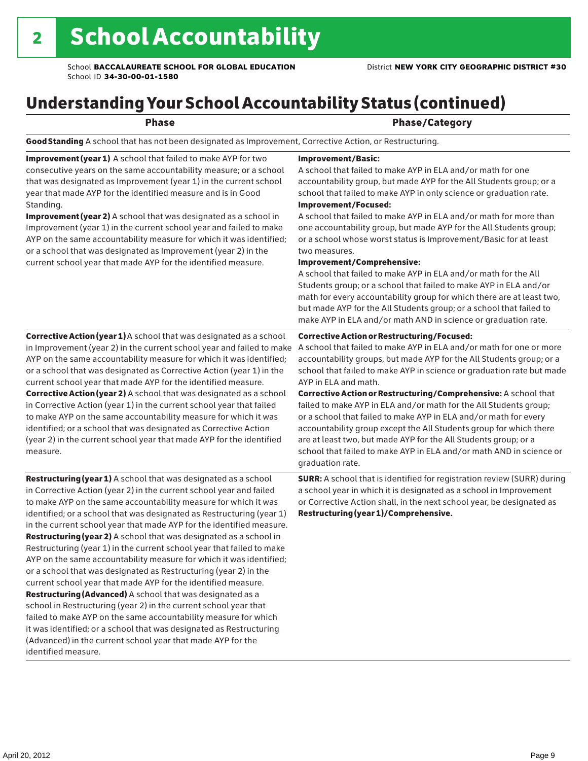# Understanding Your School Accountability Status (continued)

|--|--|--|--|--|

## Phase/Category

Good Standing A school that has not been designated as Improvement, Corrective Action, or Restructuring.

Improvement (year 1) A school that failed to make AYP for two consecutive years on the same accountability measure; or a school that was designated as Improvement (year 1) in the current school year that made AYP for the identified measure and is in Good Standing.

Improvement (year 2) A school that was designated as a school in Improvement (year 1) in the current school year and failed to make AYP on the same accountability measure for which it was identified; or a school that was designated as Improvement (year 2) in the current school year that made AYP for the identified measure.

## Corrective Action (year 1) A school that was designated as a school in Improvement (year 2) in the current school year and failed to make AYP on the same accountability measure for which it was identified; or a school that was designated as Corrective Action (year 1) in the current school year that made AYP for the identified measure. Corrective Action (year 2) A school that was designated as a school in Corrective Action (year 1) in the current school year that failed to make AYP on the same accountability measure for which it was identified; or a school that was designated as Corrective Action (year 2) in the current school year that made AYP for the identified measure.

**Restructuring (year 1)** A school that was designated as a school in Corrective Action (year 2) in the current school year and failed to make AYP on the same accountability measure for which it was identified; or a school that was designated as Restructuring (year 1) in the current school year that made AYP for the identified measure. Restructuring (year 2) A school that was designated as a school in Restructuring (year 1) in the current school year that failed to make AYP on the same accountability measure for which it was identified; or a school that was designated as Restructuring (year 2) in the current school year that made AYP for the identified measure. Restructuring (Advanced) A school that was designated as a school in Restructuring (year 2) in the current school year that failed to make AYP on the same accountability measure for which it was identified; or a school that was designated as Restructuring (Advanced) in the current school year that made AYP for the identified measure.

## Improvement/Basic:

A school that failed to make AYP in ELA and/or math for one accountability group, but made AYP for the All Students group; or a school that failed to make AYP in only science or graduation rate. Improvement/Focused:

A school that failed to make AYP in ELA and/or math for more than one accountability group, but made AYP for the All Students group; or a school whose worst status is Improvement/Basic for at least two measures.

## Improvement/Comprehensive:

A school that failed to make AYP in ELA and/or math for the All Students group; or a school that failed to make AYP in ELA and/or math for every accountability group for which there are at least two, but made AYP for the All Students group; or a school that failed to make AYP in ELA and/or math AND in science or graduation rate.

## Corrective Action or Restructuring/Focused:

A school that failed to make AYP in ELA and/or math for one or more accountability groups, but made AYP for the All Students group; or a school that failed to make AYP in science or graduation rate but made AYP in ELA and math.

Corrective Action or Restructuring/Comprehensive: A school that failed to make AYP in ELA and/or math for the All Students group; or a school that failed to make AYP in ELA and/or math for every accountability group except the All Students group for which there are at least two, but made AYP for the All Students group; or a school that failed to make AYP in ELA and/or math AND in science or graduation rate.

SURR: A school that is identified for registration review (SURR) during a school year in which it is designated as a school in Improvement or Corrective Action shall, in the next school year, be designated as Restructuring (year 1)/Comprehensive.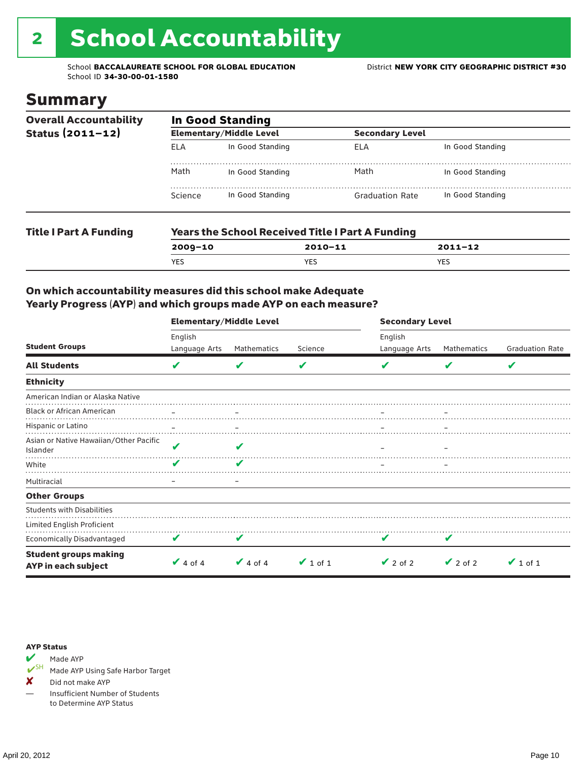# 2 School Accountability

School **BACCALAUREATE SCHOOL FOR GLOBAL EDUCATION** District **NEW YORK CITY GEOGRAPHIC DISTRICT #30** School ID **34-30-00-01-1580**

## Summary

| <b>Overall Accountability</b> | <b>In Good Standing</b> |                                |                                                         |                  |  |  |  |
|-------------------------------|-------------------------|--------------------------------|---------------------------------------------------------|------------------|--|--|--|
| Status $(2011 - 12)$          |                         | <b>Elementary/Middle Level</b> | <b>Secondary Level</b>                                  |                  |  |  |  |
|                               | <b>ELA</b>              | In Good Standing               | ELA                                                     | In Good Standing |  |  |  |
|                               | Math                    | In Good Standing               | Math                                                    | In Good Standing |  |  |  |
|                               | Science                 | In Good Standing               | <b>Graduation Rate</b>                                  | In Good Standing |  |  |  |
| <b>Title I Part A Funding</b> |                         |                                | <b>Years the School Received Title I Part A Funding</b> |                  |  |  |  |
|                               | $2009 - 10$             |                                | $2010 - 11$                                             | $2011 - 12$      |  |  |  |

YES YES YES

## On which accountability measures did this school make Adequate Yearly Progress (AYP) and which groups made AYP on each measure?

|                                                     | <b>Elementary/Middle Level</b> |                                |               | <b>Secondary Level</b>   |               |                        |  |
|-----------------------------------------------------|--------------------------------|--------------------------------|---------------|--------------------------|---------------|------------------------|--|
| <b>Student Groups</b>                               | English<br>Language Arts       | Mathematics                    | Science       | English<br>Language Arts | Mathematics   | <b>Graduation Rate</b> |  |
| <b>All Students</b>                                 | V                              |                                | V             |                          |               | V                      |  |
| <b>Ethnicity</b>                                    |                                |                                |               |                          |               |                        |  |
| American Indian or Alaska Native                    |                                |                                |               |                          |               |                        |  |
| <b>Black or African American</b>                    |                                |                                |               |                          |               |                        |  |
| Hispanic or Latino                                  |                                |                                |               |                          |               |                        |  |
| Asian or Native Hawaiian/Other Pacific<br>Islander  | V                              | ✔                              |               |                          |               |                        |  |
| White                                               | V                              |                                |               |                          |               |                        |  |
| Multiracial                                         | -                              | $\qquad \qquad \longleftarrow$ |               |                          |               |                        |  |
| <b>Other Groups</b>                                 |                                |                                |               |                          |               |                        |  |
| <b>Students with Disabilities</b>                   |                                |                                |               |                          |               |                        |  |
| Limited English Proficient                          |                                |                                |               |                          |               |                        |  |
| Economically Disadvantaged                          | V                              |                                |               |                          |               |                        |  |
| <b>Student groups making</b><br>AYP in each subject | $\vee$ 4 of 4                  | $\vee$ 4 of 4                  | $\vee$ 1 of 1 | $\vee$ 2 of 2            | $\vee$ 2 of 2 | $\vee$ 1 of 1          |  |

## AYP Status



Made AYP Using Safe Harbor Target

X Did not make AYP

— Insufficient Number of Students to Determine AYP Status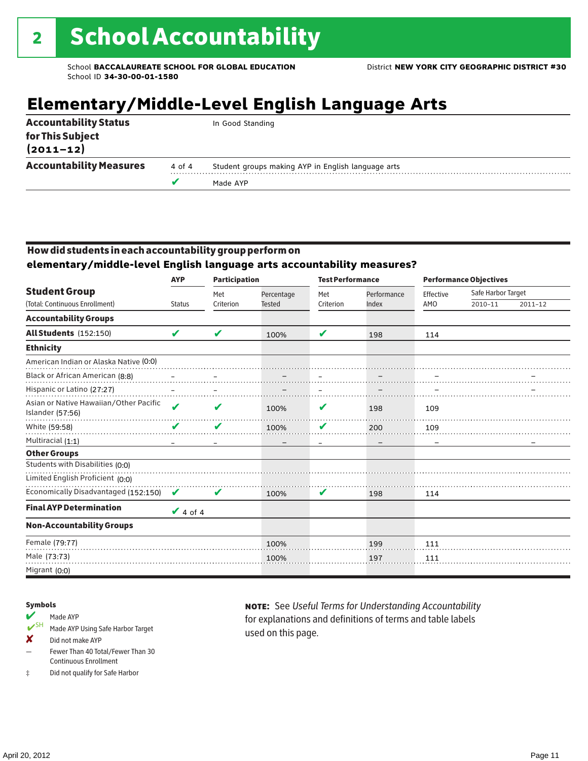# **Elementary/Middle-Level English Language Arts**

|                                   |        | Made AYP                                           |
|-----------------------------------|--------|----------------------------------------------------|
| <b>Accountability Measures</b>    | 4 of 4 | Student groups making AYP in English language arts |
| for This Subject<br>$(2011 - 12)$ |        |                                                    |
| <b>Accountability Status</b>      |        | In Good Standing                                   |

## How did students in each accountability group perform on

**elementary/middle-level English language arts accountability measures?**

|                                                            | <b>AYP</b><br><b>Participation</b> |           |               |           | <b>Test Performance</b> |           | <b>Performance Objectives</b> |             |
|------------------------------------------------------------|------------------------------------|-----------|---------------|-----------|-------------------------|-----------|-------------------------------|-------------|
| <b>Student Group</b>                                       |                                    | Met       | Percentage    | Met       | Performance             | Effective | Safe Harbor Target            |             |
| (Total: Continuous Enrollment)                             | <b>Status</b>                      | Criterion | <b>Tested</b> | Criterion | Index                   | AMO       | 2010-11                       | $2011 - 12$ |
| <b>Accountability Groups</b>                               |                                    |           |               |           |                         |           |                               |             |
| All Students (152:150)                                     | V                                  | V         | 100%          | V         | 198                     | 114       |                               |             |
| <b>Ethnicity</b>                                           |                                    |           |               |           |                         |           |                               |             |
| American Indian or Alaska Native (0:0)                     |                                    |           |               |           |                         |           |                               |             |
| Black or African American (8:8)                            |                                    |           |               |           |                         |           |                               |             |
| Hispanic or Latino (27:27)                                 |                                    |           |               |           |                         |           |                               |             |
| Asian or Native Hawaiian/Other Pacific<br>Islander (57:56) | $\boldsymbol{\nu}$                 | V         | 100%          | V         | 198                     | 109       |                               |             |
| White (59:58)                                              | V                                  | V         | 100%          | V         | 200                     | 109       |                               |             |
| Multiracial (1:1)                                          |                                    |           |               |           |                         |           |                               |             |
| <b>Other Groups</b>                                        |                                    |           |               |           |                         |           |                               |             |
| Students with Disabilities (0:0)                           |                                    |           |               |           |                         |           |                               |             |
| Limited English Proficient (0:0)                           |                                    |           |               |           |                         |           |                               |             |
| Economically Disadvantaged (152:150)                       | $\boldsymbol{\mathcal{U}}$         | V         | 100%          | V         | 198                     | 114       |                               |             |
| <b>Final AYP Determination</b>                             | $\vee$ 4 of 4                      |           |               |           |                         |           |                               |             |
| <b>Non-Accountability Groups</b>                           |                                    |           |               |           |                         |           |                               |             |
| Female (79:77)                                             |                                    |           | 100%          |           | 199                     | 111       |                               |             |
| Male (73:73)                                               |                                    |           | 100%          |           | 197                     | 111       |                               |             |
| Migrant (0:0)                                              |                                    |           |               |           |                         |           |                               |             |

## Symbols

- Made AYP<br>
SH Made AYP Made AYP Using Safe Harbor Target
- ✘ Did not make AYP
- Fewer Than 40 Total/Fewer Than 30 Continuous Enrollment
- ‡ Did not qualify for Safe Harbor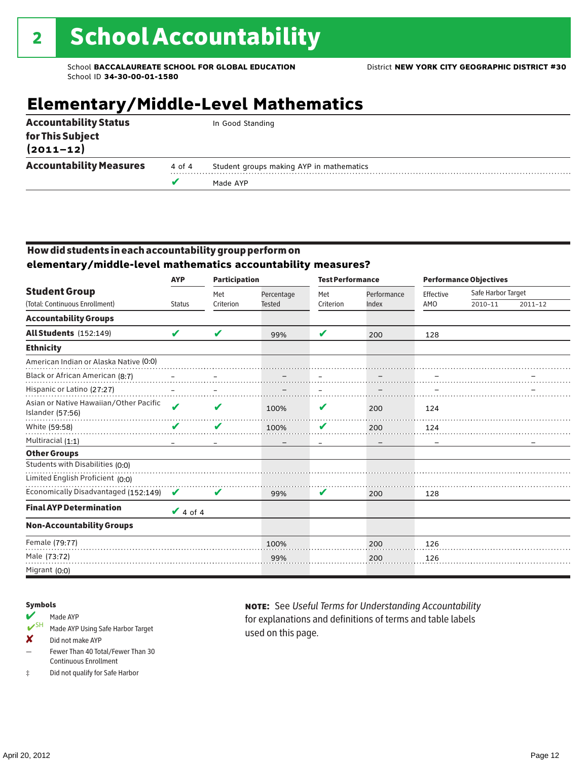# **Elementary/Middle-Level Mathematics**

|                                   |        | Made AYP                                 |
|-----------------------------------|--------|------------------------------------------|
| <b>Accountability Measures</b>    | 4 of 4 | Student groups making AYP in mathematics |
| for This Subject<br>$(2011 - 12)$ |        |                                          |
| <b>Accountability Status</b>      |        | In Good Standing                         |

## How did students in each accountability group perform on **elementary/middle-level mathematics accountability measures?**

|                                                            | <b>AYP</b>    | <b>Participation</b> |               | <b>Test Performance</b> |             |           | <b>Performance Objectives</b> |             |
|------------------------------------------------------------|---------------|----------------------|---------------|-------------------------|-------------|-----------|-------------------------------|-------------|
| <b>Student Group</b>                                       |               | Met                  | Percentage    | Met                     | Performance | Effective | Safe Harbor Target            |             |
| (Total: Continuous Enrollment)                             | <b>Status</b> | Criterion            | <b>Tested</b> | Criterion               | Index       | AMO       | 2010-11                       | $2011 - 12$ |
| <b>Accountability Groups</b>                               |               |                      |               |                         |             |           |                               |             |
| <b>All Students (152:149)</b>                              | V             | V                    | 99%           | V                       | 200         | 128       |                               |             |
| <b>Ethnicity</b>                                           |               |                      |               |                         |             |           |                               |             |
| American Indian or Alaska Native (0:0)                     |               |                      |               |                         |             |           |                               |             |
| Black or African American (8:7)                            |               |                      |               |                         |             |           |                               |             |
| Hispanic or Latino (27:27)                                 |               |                      |               |                         |             |           |                               |             |
| Asian or Native Hawaiian/Other Pacific<br>Islander (57:56) | V             | V                    | 100%          | V                       | 200         | 124       |                               |             |
| White (59:58)                                              | V             | V                    | 100%          | V                       | 200         | 124       |                               |             |
| Multiracial (1:1)                                          |               |                      |               |                         |             |           |                               |             |
| <b>Other Groups</b>                                        |               |                      |               |                         |             |           |                               |             |
| Students with Disabilities (0:0)                           |               |                      |               |                         |             |           |                               |             |
| Limited English Proficient (0:0)                           |               |                      |               |                         |             |           |                               |             |
| Economically Disadvantaged (152:149)                       | V             | V                    | 99%           | V                       | 200         | 128       |                               |             |
| <b>Final AYP Determination</b>                             | $\vee$ 4 of 4 |                      |               |                         |             |           |                               |             |
| <b>Non-Accountability Groups</b>                           |               |                      |               |                         |             |           |                               |             |
| Female (79:77)                                             |               |                      | 100%          |                         | 200         | 126       |                               |             |
| Male (73:72)                                               |               |                      | 99%           |                         | 200         | 126       |                               |             |
| Migrant (0:0)                                              |               |                      |               |                         |             |           |                               |             |

## Symbols

- Made AYP<br>
SH Made AYP Made AYP Using Safe Harbor Target
- ✘ Did not make AYP
- Fewer Than 40 Total/Fewer Than 30 Continuous Enrollment
- ‡ Did not qualify for Safe Harbor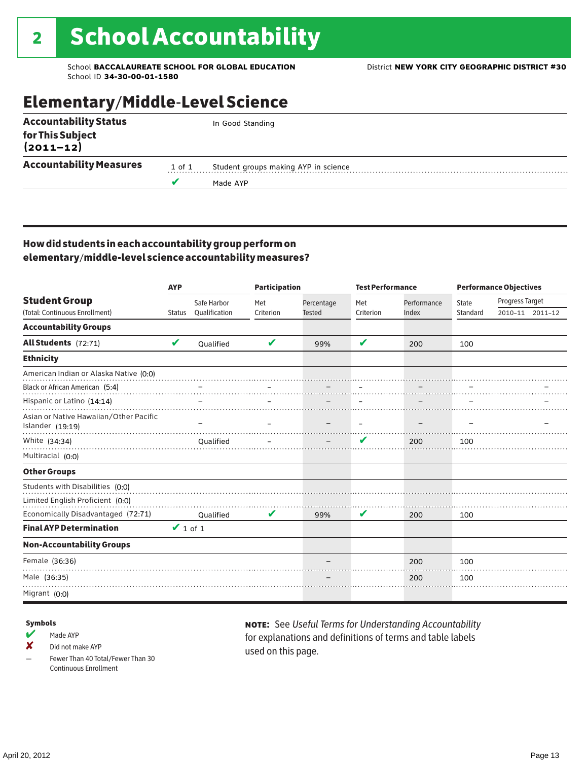# Elementary/Middle-Level Science

| <b>Accountability Status</b>   |        | In Good Standing                     |  |  |  |
|--------------------------------|--------|--------------------------------------|--|--|--|
| for This Subject<br>(2011–12)  |        |                                      |  |  |  |
| <b>Accountability Measures</b> | 1 of 1 | Student groups making AYP in science |  |  |  |
|                                |        | Made AYP                             |  |  |  |
|                                |        |                                      |  |  |  |

## How did students in each accountability group perform on elementary/middle-level science accountability measures?

|                                                                      | <b>AYP</b>    |               |           | <b>Participation</b> |           | <b>Test Performance</b> | <b>Performance Objectives</b> |                 |                 |
|----------------------------------------------------------------------|---------------|---------------|-----------|----------------------|-----------|-------------------------|-------------------------------|-----------------|-----------------|
| <b>Student Group</b>                                                 |               | Safe Harbor   | Met       | Percentage           | Met       | Performance             | State                         | Progress Target |                 |
| (Total: Continuous Enrollment)                                       | <b>Status</b> | Qualification | Criterion | <b>Tested</b>        | Criterion | Index                   | Standard                      |                 | 2010-11 2011-12 |
| <b>Accountability Groups</b>                                         |               |               |           |                      |           |                         |                               |                 |                 |
| All Students (72:71)                                                 | V             | Oualified     | V         | 99%                  | V         | 200                     | 100                           |                 |                 |
| <b>Ethnicity</b>                                                     |               |               |           |                      |           |                         |                               |                 |                 |
| American Indian or Alaska Native (0:0)                               |               |               |           |                      |           |                         |                               |                 |                 |
| Black or African American (5:4)                                      |               |               |           |                      |           |                         |                               |                 |                 |
| Hispanic or Latino (14:14)                                           |               |               |           |                      |           |                         |                               |                 |                 |
| Asian or Native Hawaiian/Other Pacific<br>Islander (19:19)           |               |               |           |                      |           |                         |                               |                 |                 |
| White (34:34)                                                        |               | Oualified     |           |                      | V         | 200                     | 100                           |                 |                 |
| Multiracial (0:0)                                                    |               |               |           |                      |           |                         |                               |                 |                 |
| <b>Other Groups</b>                                                  |               |               |           |                      |           |                         |                               |                 |                 |
| Students with Disabilities (0:0)<br>Limited English Proficient (0:0) |               |               |           |                      |           |                         |                               |                 |                 |
| Economically Disadvantaged (72:71)                                   |               | Qualified     | V         | 99%                  | V         | 200                     | 100                           |                 |                 |
| <b>Final AYP Determination</b>                                       | $\vee$ 1 of 1 |               |           |                      |           |                         |                               |                 |                 |
| <b>Non-Accountability Groups</b>                                     |               |               |           |                      |           |                         |                               |                 |                 |
| Female (36:36)                                                       |               |               |           |                      |           | 200                     | 100                           |                 |                 |
| Male (36:35)                                                         |               |               |           |                      |           | 200                     | 100                           |                 |                 |
| Migrant (0:0)                                                        |               |               |           |                      |           |                         |                               |                 |                 |

## Symbols

 $M$  Made AYP

✘ Did not make AYP

Fewer Than 40 Total/Fewer Than 30 Continuous Enrollment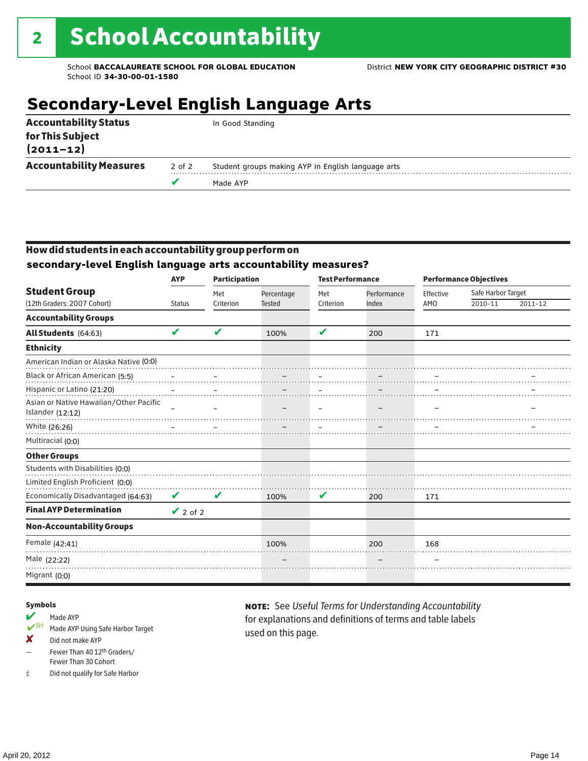# **Secondary-Level English Language Arts**

|                                   |        | Made AYP                                           |
|-----------------------------------|--------|----------------------------------------------------|
| <b>Accountability Measures</b>    | 2 of 2 | Student groups making AYP in English language arts |
| for This Subject<br>$(2011 - 12)$ |        |                                                    |
| <b>Accountability Status</b>      |        | In Good Standing                                   |

## How did students in each accountability group perform on **secondary-level English language arts accountability measures?**

|                                                            | <b>AYP</b>    | <b>Participation</b> |                             |                  | <b>Test Performance</b> |                  | <b>Performance Objectives</b> |         |  |
|------------------------------------------------------------|---------------|----------------------|-----------------------------|------------------|-------------------------|------------------|-------------------------------|---------|--|
| <b>Student Group</b><br>(12th Graders: 2007 Cohort)        | <b>Status</b> | Met<br>Criterion     | Percentage<br><b>Tested</b> | Met<br>Criterion | Performance<br>Index    | Effective<br>AMO | Safe Harbor Target<br>2010-11 | 2011-12 |  |
| <b>Accountability Groups</b>                               |               |                      |                             |                  |                         |                  |                               |         |  |
| All Students (64:63)                                       | $\mathbf{v}$  | V                    | 100%                        | V                | 200                     | 171              |                               |         |  |
| <b>Ethnicity</b>                                           |               |                      |                             |                  |                         |                  |                               |         |  |
| American Indian or Alaska Native (0:0)                     |               |                      |                             |                  |                         |                  |                               |         |  |
| Black or African American (5:5)                            |               |                      |                             |                  |                         |                  |                               |         |  |
| Hispanic or Latino (21:20)                                 |               |                      |                             |                  |                         |                  |                               |         |  |
| Asian or Native Hawaiian/Other Pacific<br>Islander (12:12) |               |                      |                             |                  |                         |                  |                               |         |  |
| White (26:26)                                              |               |                      |                             |                  |                         |                  |                               |         |  |
| Multiracial (0:0)                                          |               |                      |                             |                  |                         |                  |                               |         |  |
| <b>Other Groups</b>                                        |               |                      |                             |                  |                         |                  |                               |         |  |
| Students with Disabilities (0:0)                           |               |                      |                             |                  |                         |                  |                               |         |  |
| Limited English Proficient (0:0)                           |               |                      |                             |                  |                         |                  |                               |         |  |
| Economically Disadvantaged (64:63)                         | V             | V                    | 100%                        | V                | 200                     | 171              |                               |         |  |
| <b>Final AYP Determination</b>                             | $\vee$ 2 of 2 |                      |                             |                  |                         |                  |                               |         |  |
| <b>Non-Accountability Groups</b>                           |               |                      |                             |                  |                         |                  |                               |         |  |
| Female (42:41)                                             |               |                      | 100%                        |                  | 200                     | 168              |                               |         |  |
| Male (22:22)                                               |               |                      |                             |                  |                         |                  |                               |         |  |
| Migrant (0:0)                                              |               |                      |                             |                  |                         |                  |                               |         |  |

## Symbols

## Made AYP

- ✔SH Made AYP Using Safe Harbor Target
- ✘ Did not make AYP
- Fewer Than 40 12th Graders/ Fewer Than 30 Cohort
- ‡ Did not qualify for Safe Harbor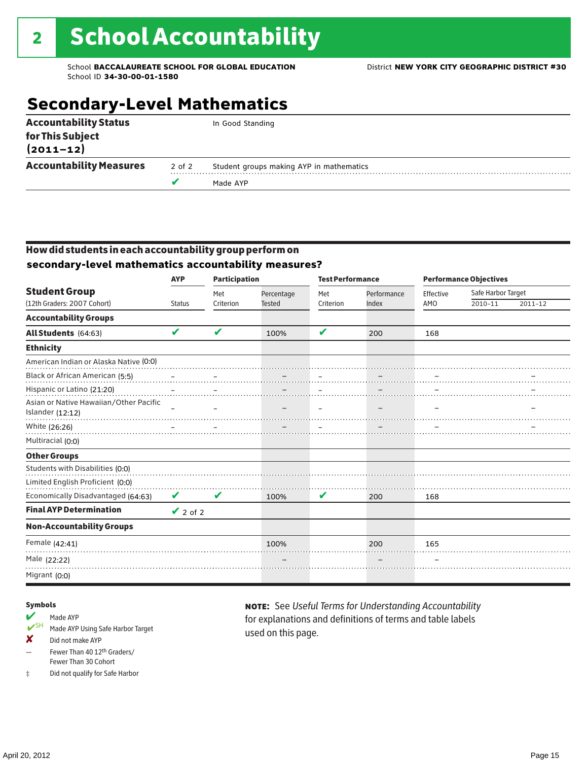# **Secondary-Level Mathematics**

| <b>Accountability Status</b>      |        | In Good Standing                         |
|-----------------------------------|--------|------------------------------------------|
| for This Subject<br>$(2011 - 12)$ |        |                                          |
| <b>Accountability Measures</b>    | 2 of 2 | Student groups making AYP in mathematics |
|                                   |        | Made AYP                                 |

## How did students in each accountability group perform on **secondary-level mathematics accountability measures?**

|                                                     | <b>AYP</b>    | <b>Participation</b> |                             |                  | <b>Test Performance</b> |                  | <b>Performance Objectives</b> |             |  |
|-----------------------------------------------------|---------------|----------------------|-----------------------------|------------------|-------------------------|------------------|-------------------------------|-------------|--|
| <b>Student Group</b><br>(12th Graders: 2007 Cohort) | <b>Status</b> | Met<br>Criterion     | Percentage<br><b>Tested</b> | Met<br>Criterion | Performance<br>Index    | Effective<br>AMO | Safe Harbor Target<br>2010-11 | $2011 - 12$ |  |
| <b>Accountability Groups</b>                        |               |                      |                             |                  |                         |                  |                               |             |  |
| All Students (64:63)                                | V             | V                    | 100%                        | V                | 200                     | 168              |                               |             |  |
| <b>Ethnicity</b>                                    |               |                      |                             |                  |                         |                  |                               |             |  |
| American Indian or Alaska Native (0:0)              |               |                      |                             |                  |                         |                  |                               |             |  |
| Black or African American (5:5)                     |               |                      |                             |                  |                         |                  |                               |             |  |
| Hispanic or Latino (21:20)                          |               |                      |                             |                  |                         |                  |                               |             |  |
| Asian or Native Hawaiian/Other Pacific              |               |                      |                             |                  |                         |                  |                               |             |  |
| Islander (12:12)                                    |               |                      |                             |                  |                         |                  |                               |             |  |
| White (26:26)                                       |               |                      |                             |                  |                         |                  |                               |             |  |
| Multiracial (0:0)                                   |               |                      |                             |                  |                         |                  |                               |             |  |
| <b>Other Groups</b>                                 |               |                      |                             |                  |                         |                  |                               |             |  |
| Students with Disabilities (0:0)                    |               |                      |                             |                  |                         |                  |                               |             |  |
| Limited English Proficient (0:0)                    |               |                      |                             |                  |                         |                  |                               |             |  |
| Economically Disadvantaged (64:63)                  | V             | V                    | 100%                        | V                | 200                     | 168              |                               |             |  |
| <b>Final AYP Determination</b>                      | $\vee$ 2 of 2 |                      |                             |                  |                         |                  |                               |             |  |
| <b>Non-Accountability Groups</b>                    |               |                      |                             |                  |                         |                  |                               |             |  |
| Female (42:41)                                      |               |                      | 100%                        |                  | 200                     | 165              |                               |             |  |
| Male (22:22)                                        |               |                      |                             |                  |                         |                  |                               |             |  |
| Migrant (0:0)                                       |               |                      |                             |                  |                         |                  |                               |             |  |

## Symbols

- Made AYP<br>
SH Made AVP Made AYP Using Safe Harbor Target
- ✘ Did not make AYP
- Fewer Than 40 12th Graders/ Fewer Than 30 Cohort
- ‡ Did not qualify for Safe Harbor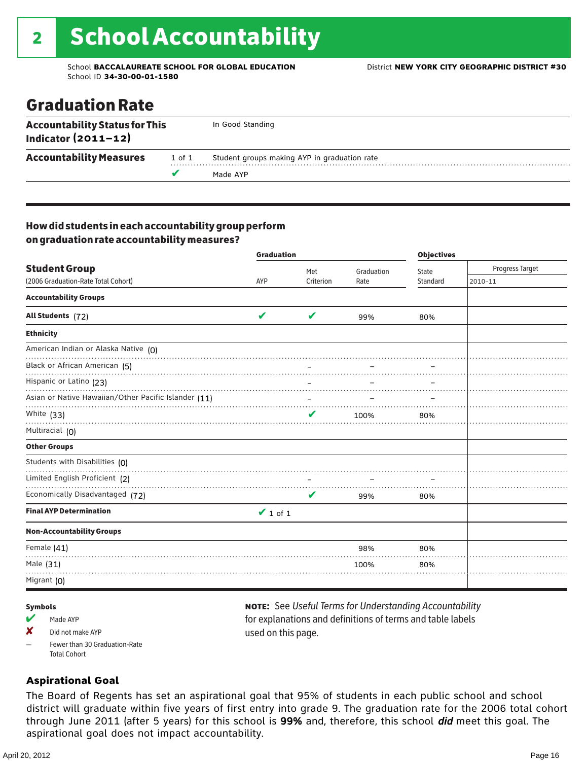# Graduation Rate

| <b>Accountability Status for This</b><br>Indicator $(2011-12)$ |        | In Good Standing                             |
|----------------------------------------------------------------|--------|----------------------------------------------|
| <b>Accountability Measures</b>                                 | 1 of 1 | Student groups making AYP in graduation rate |
|                                                                |        | Made AYP                                     |

## How did students in each accountability group perform on graduation rate accountability measures?

|                                                      | <b>Graduation</b> |           | <b>Objectives</b> |          |                 |
|------------------------------------------------------|-------------------|-----------|-------------------|----------|-----------------|
| <b>Student Group</b>                                 |                   | Met       | Graduation        | State    | Progress Target |
| (2006 Graduation-Rate Total Cohort)                  | AYP               | Criterion | Rate              | Standard | 2010-11         |
| <b>Accountability Groups</b>                         |                   |           |                   |          |                 |
| All Students (72)                                    | V                 | V         | 99%               | 80%      |                 |
| <b>Ethnicity</b>                                     |                   |           |                   |          |                 |
| American Indian or Alaska Native (0)                 |                   |           |                   |          |                 |
| Black or African American (5)                        |                   |           |                   |          |                 |
| Hispanic or Latino (23)                              |                   |           |                   |          |                 |
| Asian or Native Hawaiian/Other Pacific Islander (11) |                   |           |                   |          |                 |
| White (33)                                           |                   |           | 100%              | 80%      |                 |
| Multiracial (0)                                      |                   |           |                   |          |                 |
| <b>Other Groups</b>                                  |                   |           |                   |          |                 |
| Students with Disabilities (0)                       |                   |           |                   |          |                 |
| Limited English Proficient (2)                       |                   |           |                   |          |                 |
| Economically Disadvantaged (72)                      |                   | V         | 99%               | 80%      |                 |
| <b>Final AYP Determination</b>                       | $\vee$ 1 of 1     |           |                   |          |                 |
| <b>Non-Accountability Groups</b>                     |                   |           |                   |          |                 |
| Female (41)                                          |                   |           | 98%               | 80%      |                 |
| Male (31)                                            |                   |           | 100%              | 80%      |                 |
| Migrant $(0)$                                        |                   |           |                   |          |                 |

## Symbols

- Made AYP
- X Did not make AYP
- Fewer than 30 Graduation-Rate Total Cohort

note: See *Useful Terms for Understanding Accountability*  for explanations and definitions of terms and table labels used on this page.

## **Aspirational Goal**

The Board of Regents has set an aspirational goal that 95% of students in each public school and school district will graduate within five years of first entry into grade 9. The graduation rate for the 2006 total cohort through June 2011 (after 5 years) for this school is 99% and, therefore, this school did meet this goal. The aspirational goal does not impact accountability.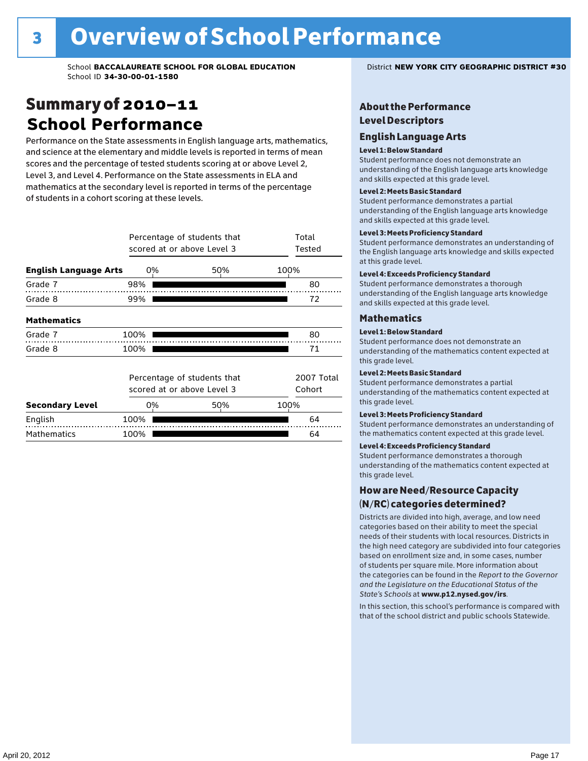# Summary of 2010–11 **School Performance**

Performance on the State assessments in English language arts, mathematics, and science at the elementary and middle levels is reported in terms of mean scores and the percentage of tested students scoring at or above Level 2, Level 3, and Level 4. Performance on the State assessments in ELA and mathematics at the secondary level is reported in terms of the percentage of students in a cohort scoring at these levels.

|                              | Percentage of students that<br>scored at or above Level 3 |                                                           | Total<br>Tested |                      |
|------------------------------|-----------------------------------------------------------|-----------------------------------------------------------|-----------------|----------------------|
| <b>English Language Arts</b> | 0%                                                        | 100%                                                      |                 |                      |
| Grade 7                      | 98%                                                       |                                                           |                 | 80                   |
| Grade 8                      | 99%                                                       |                                                           |                 | 72                   |
| <b>Mathematics</b>           |                                                           |                                                           |                 |                      |
| Grade 7                      | 100%                                                      |                                                           |                 | 80                   |
| Grade 8                      | 100%                                                      |                                                           |                 | 71                   |
|                              |                                                           | Percentage of students that<br>scored at or above Level 3 |                 | 2007 Total<br>Cohort |
| <b>Secondary Level</b>       | 0%                                                        | 50%                                                       | 100%            |                      |
| English                      | 100%                                                      |                                                           |                 | 64                   |
| <b>Mathematics</b>           | 100%                                                      |                                                           |                 | 64                   |

## About the Performance Level Descriptors

## English Language Arts English Language Arts

## Level 1: Below Standard

understanding of the content expected in the subjection of the subjection  $\mathcal{L}$ Student performance does not demonstrate an and skills expected at this grade level. understanding of the English language arts knowledge

## Student performance demonstrates a partial Level 2: Meets Basic Standard understanding of the content expected in the subject of the subject of the subject of the subject of the subject

Student performance demonstrates a partial and skills expected at this grade level. Students performance demonstrates and understanding and understanding and understanding and understanding and u understanding of the English language arts knowledge

## Level 3: Meets Proficiency Standard

Level 4: Meeting Learning Standards with Distinction. the English language arts knowledge and skills expected at this grade level.<br>at this grade level.  $\mathbf{u}$  and  $\mathbf{y}$  and  $\mathbf{u}$  the subjected in the subjected in the subjected in the subjection  $\mathbf{v}$ Student performance demonstrates an understanding of

## Level 4: Exceeds Proficiency Standard

understanding of the English language arts knowledge and skills expected at this grade level.<br>———————————————————— Student performance demonstrates a thorough

## Districts are districts and low need in the low need  $\sim$

## categories based on their ability to meet the special Level 1: Below Standard

Student performance does not demonstrate an understanding of the mathematics content expected at  $\frac{1}{2}$  based on enrollment size and, in some cases, number  $\frac{1}{2}$  and,  $\frac{1}{2}$  and,  $\frac{1}{2}$ 

## $\overline{\phantom{a}}$  students about  $\overline{\phantom{a}}$  . More is about  $\overline{\phantom{a}}$  about  $\overline{\phantom{a}}$  about  $\overline{\phantom{a}}$

the categories can be found in the *Report to the Governor categories* can be found in the *Report to the Govern*or  $\alpha$ *and the Legislature on the Educational Status of the*  Student performance demonstrates a partial understanding of the mathematics content expected at this grade level.

## Level 3: Meets Proficiency Standard

Student performance demonstrates an understanding of the mathematics content expected at this grade level.

## Level 4: Exceeds Proficiency Standard

Student performance demonstrates a thorough understanding of the mathematics content expected at this grade level.  $\mathcal{L}_{\text{max}}$  is performance with that of similar  $\mathcal{L}_{\text{max}}$ 

## schools. The following factors are considered in grouping How are Need/Resource Capacity  $(N/RC)$  categories determined?  $\hphantom{N(2)}\sum_{n=1}^{\infty}\frac{1}{n}$

Districts are divided into high, average, and low need categories based on their ability to meet the special needs of their students with local resources. Districts in the high need category are subdivided into four categories based on enrollment size and, in some cases, number of students per square mile. More information about the categories can be found in the *Report to the Governor* Group: *State's Schools* at www.p12.nysed.gov/irs. *and the Legislature on the Educational Status of the* 

In this section, this school's performance is compared with that of the school district and public schools Statewide.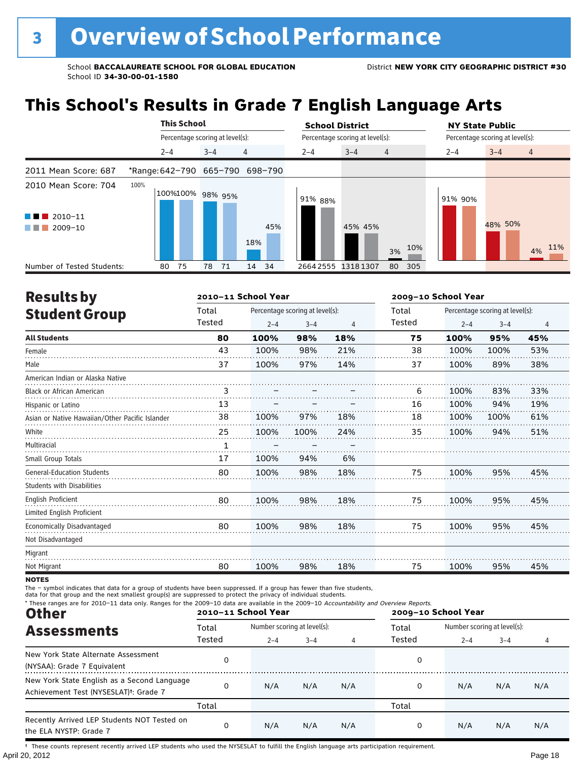# **This School's Results in Grade 7 English Language Arts**

|                                                                    | <b>This School</b>       |                                 | <b>School District</b>               | <b>NY State Public</b>               |  |  |
|--------------------------------------------------------------------|--------------------------|---------------------------------|--------------------------------------|--------------------------------------|--|--|
|                                                                    |                          | Percentage scoring at level(s): | Percentage scoring at level(s):      | Percentage scoring at level(s):      |  |  |
|                                                                    | $2 - 4$                  | $\overline{4}$<br>$3 - 4$       | $2 - 4$<br>$3 - 4$<br>$\overline{4}$ | $3 - 4$<br>$\overline{4}$<br>$2 - 4$ |  |  |
| 2011 Mean Score: 687                                               |                          | *Range: 642-790 665-790 698-790 |                                      |                                      |  |  |
| 2010 Mean Score: 704<br>$\blacksquare$ 2010-11<br>a kat<br>2009-10 | 100%<br>100%100% 98% 95% | 45%<br>18%                      | 91% 88%<br>45% 45%<br>10%<br>3%      | 91% 90%<br>48% 50%<br>11%<br>4%      |  |  |
| Number of Tested Students:                                         | 75<br>80                 | 71<br>34<br>78<br>14            | 26642555<br>13181307<br>305<br>80    |                                      |  |  |

| <b>Results by</b>                               |              | 2010-11 School Year |                                 |     | 2009-10 School Year |         |                                 |     |  |
|-------------------------------------------------|--------------|---------------------|---------------------------------|-----|---------------------|---------|---------------------------------|-----|--|
| <b>Student Group</b>                            | Total        |                     | Percentage scoring at level(s): |     | Total               |         | Percentage scoring at level(s): |     |  |
|                                                 | Tested       | $2 - 4$             | $3 - 4$                         | 4   | Tested              | $2 - 4$ | $3 - 4$                         | 4   |  |
| <b>All Students</b>                             | 80           | 100%                | 98%                             | 18% | 75                  | 100%    | 95%                             | 45% |  |
| Female                                          | 43           | 100%                | 98%                             | 21% | 38                  | 100%    | 100%                            | 53% |  |
| Male                                            | 37           | 100%                | 97%                             | 14% | 37                  | 100%    | 89%                             | 38% |  |
| American Indian or Alaska Native                |              |                     |                                 |     |                     |         |                                 |     |  |
| <b>Black or African American</b>                | 3            |                     |                                 |     | 6                   | 100%    | 83%                             | 33% |  |
| Hispanic or Latino                              | 13           |                     |                                 |     | 16                  | 100%    | 94%                             | 19% |  |
| Asian or Native Hawaiian/Other Pacific Islander | 38           | 100%                | 97%                             | 18% | 18                  | 100%    | 100%                            | 61% |  |
| White                                           | 25           | 100%                | 100%                            | 24% | 35                  | 100%    | 94%                             | 51% |  |
| Multiracial                                     | $\mathbf{1}$ |                     |                                 |     |                     |         |                                 |     |  |
| Small Group Totals                              | 17           | 100%                | 94%                             | 6%  |                     |         |                                 |     |  |
| <b>General-Education Students</b>               | 80           | 100%                | 98%                             | 18% | 75                  | 100%    | 95%                             | 45% |  |
| <b>Students with Disabilities</b>               |              |                     |                                 |     |                     |         |                                 |     |  |
| <b>English Proficient</b>                       | 80           | 100%                | 98%                             | 18% | 75                  | 100%    | 95%                             | 45% |  |
| Limited English Proficient                      |              |                     |                                 |     |                     |         |                                 |     |  |
| Economically Disadvantaged                      | 80           | 100%                | 98%                             | 18% | 75                  | 100%    | 95%                             | 45% |  |
| Not Disadvantaged                               |              |                     |                                 |     |                     |         |                                 |     |  |
| Migrant                                         |              |                     |                                 |     |                     |         |                                 |     |  |
| Not Migrant                                     | 80           | 100%                | 98%                             | 18% | 75                  | 100%    | 95%                             | 45% |  |

**NOTES** 

The – symbol indicates that data for a group of students have been suppressed. If a group has fewer than five students,<br>data for that group and the next smallest group(s) are suppressed to protect the privacy of individual

| * These ranges are for 2010-11 data only. Ranges for the 2009-10 data are available in the 2009-10 Accountability and Overview Reports.<br><b>Other</b> |        | 2010-11 School Year         |         |     | 2009-10 School Year |                             |         |     |  |  |  |
|---------------------------------------------------------------------------------------------------------------------------------------------------------|--------|-----------------------------|---------|-----|---------------------|-----------------------------|---------|-----|--|--|--|
| <b>Assessments</b>                                                                                                                                      | Total  | Number scoring at level(s): |         |     | Total               | Number scoring at level(s): |         |     |  |  |  |
|                                                                                                                                                         | Tested | $2 - 4$                     | $3 - 4$ | 4   | Tested              | $2 - 4$                     | $3 - 4$ | 4   |  |  |  |
| New York State Alternate Assessment<br>(NYSAA): Grade 7 Equivalent                                                                                      | 0      |                             |         |     | 0                   |                             |         |     |  |  |  |
| New York State English as a Second Language<br>Achievement Test (NYSESLAT) <sup>t</sup> : Grade 7                                                       | 0      | N/A                         | N/A     | N/A | 0                   | N/A                         | N/A     | N/A |  |  |  |
|                                                                                                                                                         | Total  |                             |         |     | Total               |                             |         |     |  |  |  |
| Recently Arrived LEP Students NOT Tested on<br>the ELA NYSTP: Grade 7                                                                                   | 0      | N/A                         | N/A     | N/A | 0                   | N/A                         | N/A     | N/A |  |  |  |

April 20, 2012 Page 18 † These counts represent recently arrived LEP students who used the NYSESLAT to fulfill the English language arts participation requirement.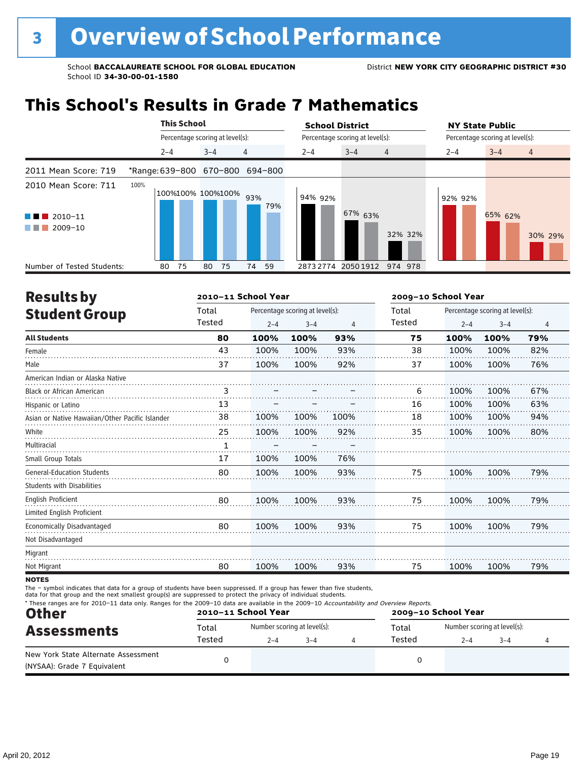# **This School's Results in Grade 7 Mathematics**

|                                                                                            | <b>This School</b>      |                                 |            | <b>School District</b> |                                 |                |         | <b>NY State Public</b>          |                |  |
|--------------------------------------------------------------------------------------------|-------------------------|---------------------------------|------------|------------------------|---------------------------------|----------------|---------|---------------------------------|----------------|--|
|                                                                                            |                         | Percentage scoring at level(s): |            |                        | Percentage scoring at level(s): |                |         | Percentage scoring at level(s): |                |  |
|                                                                                            | $2 - 4$                 | $3 - 4$                         | 4          | $2 - 4$                | $3 - 4$                         | $\overline{4}$ | $2 - 4$ | $3 - 4$                         | $\overline{4}$ |  |
| 2011 Mean Score: 719                                                                       | *Range: 639-800 670-800 |                                 | 694-800    |                        |                                 |                |         |                                 |                |  |
| 2010 Mean Score: 711<br>$\blacksquare$ 2010-11<br><b>Contract Contract</b><br>2009-10<br>. | 100%                    | 100%100% 100%100%               | 93%<br>79% | 94% 92%                | 67% 63%                         | 32% 32%        | 92% 92% | 65% 62%                         | 30% 29%        |  |
| Number of Tested Students:                                                                 | 75<br>80                | 75<br>80                        | 59<br>74   | 28732774               | 2050 1912                       | 974 978        |         |                                 |                |  |

| <b>Results by</b>                               |        | 2010-11 School Year |                                 |      | 2009-10 School Year |         |                                 |                |
|-------------------------------------------------|--------|---------------------|---------------------------------|------|---------------------|---------|---------------------------------|----------------|
| <b>Student Group</b>                            | Total  |                     | Percentage scoring at level(s): |      | Total               |         | Percentage scoring at level(s): |                |
|                                                 | Tested | $2 - 4$             | $3 - 4$                         | 4    | Tested              | $2 - 4$ | $3 - 4$                         | $\overline{4}$ |
| <b>All Students</b>                             | 80     | 100%                | 100%                            | 93%  | 75                  | 100%    | 100%                            | 79%            |
| Female                                          | 43     | 100%                | 100%                            | 93%  | 38                  | 100%    | 100%                            | 82%            |
| Male                                            | 37     | 100%                | 100%                            | 92%  | 37                  | 100%    | 100%                            | 76%            |
| American Indian or Alaska Native                |        |                     |                                 |      |                     |         |                                 |                |
| Black or African American                       | 3      |                     |                                 |      | 6                   | 100%    | 100%                            | 67%            |
| Hispanic or Latino                              | 13     |                     |                                 |      | 16                  | 100%    | 100%                            | 63%            |
| Asian or Native Hawaiian/Other Pacific Islander | 38     | 100%                | 100%                            | 100% | 18                  | 100%    | 100%                            | 94%            |
| White                                           | 25     | 100%                | 100%                            | 92%  | 35                  | 100%    | 100%                            | 80%            |
| Multiracial                                     | 1      |                     |                                 |      |                     |         |                                 |                |
| Small Group Totals                              | 17     | 100%                | 100%                            | 76%  |                     |         |                                 |                |
| <b>General-Education Students</b>               | 80     | 100%                | 100%                            | 93%  | 75                  | 100%    | 100%                            | 79%            |
| <b>Students with Disabilities</b>               |        |                     |                                 |      |                     |         |                                 |                |
| <b>English Proficient</b>                       | 80     | 100%                | 100%                            | 93%  | 75                  | 100%    | 100%                            | 79%            |
| Limited English Proficient                      |        |                     |                                 |      |                     |         |                                 |                |
| Economically Disadvantaged                      | 80     | 100%                | 100%                            | 93%  | 75                  | 100%    | 100%                            | 79%            |
| Not Disadvantaged                               |        |                     |                                 |      |                     |         |                                 |                |
| Migrant                                         |        |                     |                                 |      |                     |         |                                 |                |
| Not Migrant                                     | 80     | 100%                | 100%                            | 93%  | 75                  | 100%    | 100%                            | 79%            |
| <b>NOTES</b>                                    |        |                     |                                 |      |                     |         |                                 |                |

notes

The – symbol indicates that data for a group of students have been suppressed. If a group has fewer than five students,

data for that group and the next smallest group(s) are suppressed to protect the privacy of individual students.

| * These ranges are for 2010-11 data only. Ranges for the 2009-10 data are available in the 2009-10 Accountability and Overview Reports.<br><b>Other</b> |                 | 2010-11 School Year                    |         |                 | 2009-10 School Year                    |         |  |  |  |  |  |
|---------------------------------------------------------------------------------------------------------------------------------------------------------|-----------------|----------------------------------------|---------|-----------------|----------------------------------------|---------|--|--|--|--|--|
| <b>Assessments</b>                                                                                                                                      | Total<br>Tested | Number scoring at level(s):<br>$2 - 4$ | $3 - 4$ | Total<br>Tested | Number scoring at level(s):<br>$2 - 4$ | $3 - 4$ |  |  |  |  |  |
| New York State Alternate Assessment<br>(NYSAA): Grade 7 Equivalent                                                                                      |                 |                                        |         |                 |                                        |         |  |  |  |  |  |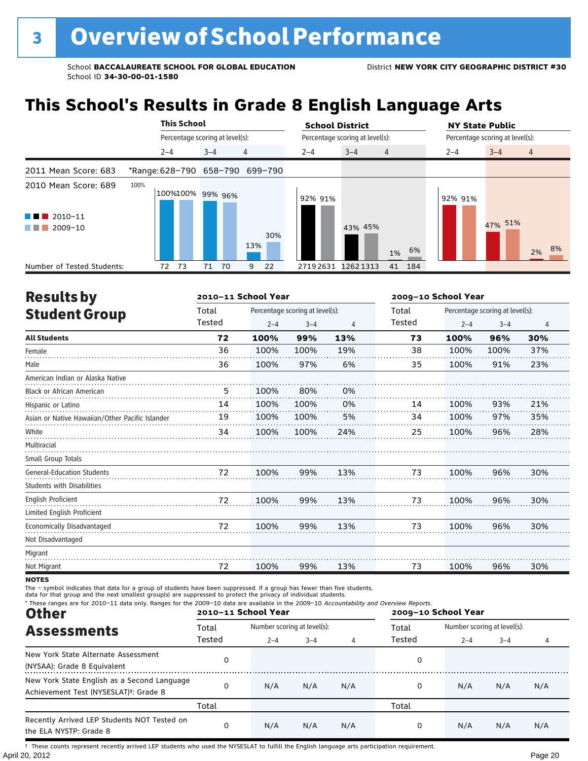# **This School's Results in Grade 8 English Language Arts**

|                            | <b>This School</b>       |                                 |                                 | <b>School District</b> |                                 | <b>NY State Public</b>          |                |
|----------------------------|--------------------------|---------------------------------|---------------------------------|------------------------|---------------------------------|---------------------------------|----------------|
|                            |                          | Percentage scoring at level(s): |                                 |                        | Percentage scoring at level(s): | Percentage scoring at level(s): |                |
|                            | $2 - 4$                  | $3 - 4$                         | 4                               | $2 - 4$                | $3 - 4$<br>$\overline{4}$       | $3 - 4$<br>$2 - 4$              | $\overline{4}$ |
| 2011 Mean Score: 683       |                          |                                 | *Range: 628-790 658-790 699-790 |                        |                                 |                                 |                |
| 2010 Mean Score: 689       | 100%<br>100%100% 99% 96% |                                 |                                 | 92% 91%                |                                 | 92% 91%                         |                |
| $\blacksquare$ 2010-11     |                          |                                 |                                 |                        |                                 | 47% 51%                         |                |
| 2009-10<br>a sa Tan        |                          |                                 | 30%<br>13%                      |                        | 43% 45%<br>6%<br>1%             |                                 | 2% 8%          |
| Number of Tested Students: | 73<br>72                 | 71                              | 70<br>22<br>9                   | 27192631               | 12621313<br>41 184              |                                 |                |

| <b>Results by</b>                               |        | 2010-11 School Year |                                 |     |        | 2009-10 School Year | Percentage scoring at level(s):<br>$2 - 4$<br>$3 - 4$<br>4 |     |  |  |  |
|-------------------------------------------------|--------|---------------------|---------------------------------|-----|--------|---------------------|------------------------------------------------------------|-----|--|--|--|
| <b>Student Group</b>                            | Total  |                     | Percentage scoring at level(s): |     | Total  |                     |                                                            |     |  |  |  |
|                                                 | Tested | $2 - 4$             | $3 - 4$                         | 4   | Tested |                     |                                                            |     |  |  |  |
| <b>All Students</b>                             | 72     | 100%                | 99%                             | 13% | 73     | 100%                | 96%                                                        | 30% |  |  |  |
| Female                                          | 36     | 100%                | 100%                            | 19% | 38     | 100%                | 100%                                                       | 37% |  |  |  |
| Male                                            | 36     | 100%                | 97%                             | 6%  | 35     | 100%                | 91%                                                        | 23% |  |  |  |
| American Indian or Alaska Native                |        |                     |                                 |     |        |                     |                                                            |     |  |  |  |
| <b>Black or African American</b>                | 5      | 100%                | 80%                             | 0%  |        |                     |                                                            |     |  |  |  |
| Hispanic or Latino                              | 14     | 100%                | 100%                            | 0%  | 14     | 100%                | 93%                                                        | 21% |  |  |  |
| Asian or Native Hawaiian/Other Pacific Islander | 19     | 100%                | 100%                            | 5%  | 34     | 100%                | 97%                                                        | 35% |  |  |  |
| White                                           | 34     | 100%                | 100%                            | 24% | 25     | 100%                | 96%                                                        | 28% |  |  |  |
| Multiracial                                     |        |                     |                                 |     |        |                     |                                                            |     |  |  |  |
| Small Group Totals                              |        |                     |                                 |     |        |                     |                                                            |     |  |  |  |
| <b>General-Education Students</b>               | 72     | 100%                | 99%                             | 13% | 73     | 100%                | 96%                                                        | 30% |  |  |  |
| <b>Students with Disabilities</b>               |        |                     |                                 |     |        |                     |                                                            |     |  |  |  |
| <b>English Proficient</b>                       | 72     | 100%                | 99%                             | 13% | 73     | 100%                | 96%                                                        | 30% |  |  |  |
| Limited English Proficient                      |        |                     |                                 |     |        |                     |                                                            |     |  |  |  |
| Economically Disadvantaged                      | 72     | 100%                | 99%                             | 13% | 73     | 100%                | 96%                                                        | 30% |  |  |  |
| Not Disadvantaged                               |        |                     |                                 |     |        |                     |                                                            |     |  |  |  |
| Migrant                                         |        |                     |                                 |     |        |                     |                                                            |     |  |  |  |
| Not Migrant                                     | 72     | 100%                | 99%                             | 13% | 73     | 100%                | 96%                                                        | 30% |  |  |  |
|                                                 |        |                     |                                 |     |        |                     |                                                            |     |  |  |  |

## **NOTES**

The – symbol indicates that data for a group of students have been suppressed. If a group has fewer than five students,<br>data for that group and the next smallest group(s) are suppressed to protect the privacy of individual

| * These ranges are for 2010-11 data only. Ranges for the 2009-10 data are available in the 2009-10 Accountability and Overview Reports.<br><b>Other</b> |        | 2010-11 School Year         |         |     | 2009-10 School Year |                             |         |     |  |  |  |  |
|---------------------------------------------------------------------------------------------------------------------------------------------------------|--------|-----------------------------|---------|-----|---------------------|-----------------------------|---------|-----|--|--|--|--|
| <b>Assessments</b>                                                                                                                                      | Total  | Number scoring at level(s): |         |     | Total               | Number scoring at level(s): |         |     |  |  |  |  |
|                                                                                                                                                         | Tested | $2 - 4$                     | $3 - 4$ | 4   | Tested              | $2 - 4$                     | $3 - 4$ |     |  |  |  |  |
| New York State Alternate Assessment<br>(NYSAA): Grade 8 Equivalent                                                                                      | 0      |                             |         |     | 0                   |                             |         |     |  |  |  |  |
| New York State English as a Second Language<br>Achievement Test (NYSESLAT) <sup>+</sup> : Grade 8                                                       | 0      | N/A                         | N/A     | N/A | 0                   | N/A                         | N/A     | N/A |  |  |  |  |
|                                                                                                                                                         | Total  |                             |         |     | Total               |                             |         |     |  |  |  |  |
| Recently Arrived LEP Students NOT Tested on<br>the ELA NYSTP: Grade 8                                                                                   | 0      | N/A                         | N/A     | N/A | 0                   | N/A                         | N/A     | N/A |  |  |  |  |

April 20, 2012 Page 20 † These counts represent recently arrived LEP students who used the NYSESLAT to fulfill the English language arts participation requirement.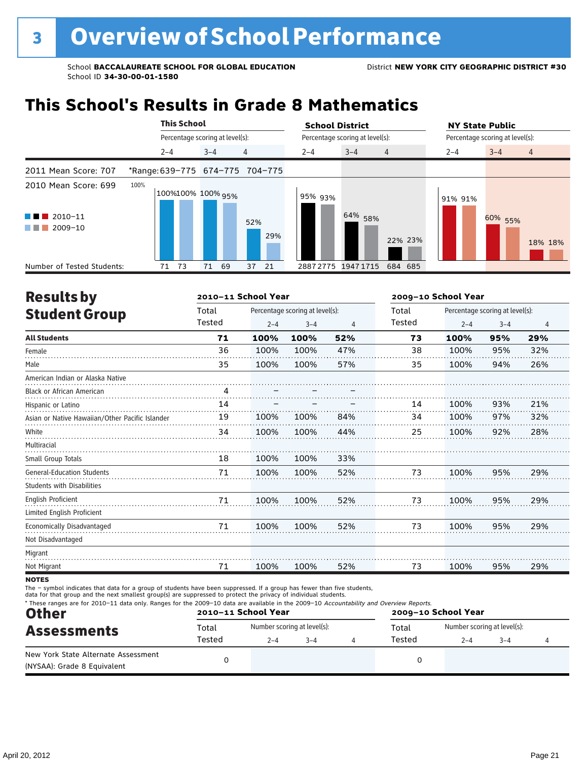# **This School's Results in Grade 8 Mathematics**

|                                                                            |         | <b>This School</b>              |                   |                                 | <b>School District</b> |                                 |         | <b>NY State Public</b>          |  |  |  |
|----------------------------------------------------------------------------|---------|---------------------------------|-------------------|---------------------------------|------------------------|---------------------------------|---------|---------------------------------|--|--|--|
|                                                                            |         | Percentage scoring at level(s): |                   |                                 |                        | Percentage scoring at level(s): |         | Percentage scoring at level(s): |  |  |  |
|                                                                            | $2 - 4$ |                                 | $3 - 4$           | 4                               | $2 - 4$                | $3 - 4$<br>$\overline{4}$       | $2 - 4$ | $3 - 4$<br>$\overline{4}$       |  |  |  |
| 2011 Mean Score: 707                                                       |         |                                 |                   | *Range: 639-775 674-775 704-775 |                        |                                 |         |                                 |  |  |  |
| 2010 Mean Score: 699<br>$2010 - 11$<br><b>Contract Contract</b><br>2009-10 | 100%    |                                 | 100%100% 100% 95% | 52%<br>29%                      | 95% 93%                | 64% 58%<br>22% 23%              | 91% 91% | 60% 55%<br>18% 18%              |  |  |  |
| Number of Tested Students:                                                 | 71      | 73                              | 69<br>71          | 37<br>-21                       | 28872775               | 19471715<br>684 685             |         |                                 |  |  |  |

| <b>Results by</b>                               |               | 2010-11 School Year |                                 |                |               | 2009-10 School Year |                                 |                |  |  |  |
|-------------------------------------------------|---------------|---------------------|---------------------------------|----------------|---------------|---------------------|---------------------------------|----------------|--|--|--|
| <b>Student Group</b>                            | Total         |                     | Percentage scoring at level(s): |                | Total         |                     | Percentage scoring at level(s): |                |  |  |  |
|                                                 | <b>Tested</b> | $2 - 4$             | $3 - 4$                         | $\overline{4}$ | <b>Tested</b> | $2 - 4$             | $3 - 4$                         | $\overline{4}$ |  |  |  |
| <b>All Students</b>                             | 71            | 100%                | 100%                            | 52%            | 73            | 100%                | 95%                             | 29%            |  |  |  |
| Female                                          | 36            | 100%                | 100%                            | 47%            | 38            | 100%                | 95%                             | 32%            |  |  |  |
| Male                                            | 35            | 100%                | 100%                            | 57%            | 35            | 100%                | 94%                             | 26%            |  |  |  |
| American Indian or Alaska Native                |               |                     |                                 |                |               |                     |                                 |                |  |  |  |
| <b>Black or African American</b>                | 4             |                     |                                 |                |               |                     |                                 |                |  |  |  |
| Hispanic or Latino                              | 14            |                     |                                 |                | 14            | 100%                | 93%                             | 21%            |  |  |  |
| Asian or Native Hawaiian/Other Pacific Islander | 19            | 100%                | 100%                            | 84%            | 34            | 100%                | 97%                             | 32%            |  |  |  |
| White                                           | 34            | 100%                | 100%                            | 44%            | 25            | 100%                | 92%                             | 28%            |  |  |  |
| Multiracial                                     |               |                     |                                 |                |               |                     |                                 |                |  |  |  |
| Small Group Totals                              | 18            | 100%                | 100%                            | 33%            |               |                     |                                 |                |  |  |  |
| <b>General-Education Students</b>               | 71            | 100%                | 100%                            | 52%            | 73            | 100%                | 95%                             | 29%            |  |  |  |
| <b>Students with Disabilities</b>               |               |                     |                                 |                |               |                     |                                 |                |  |  |  |
| <b>English Proficient</b>                       | 71            | 100%                | 100%                            | 52%            | 73            | 100%                | 95%                             | 29%            |  |  |  |
| Limited English Proficient                      |               |                     |                                 |                |               |                     |                                 |                |  |  |  |
| Economically Disadvantaged                      | 71            | 100%                | 100%                            | 52%            | 73            | 100%                | 95%                             | 29%            |  |  |  |
| Not Disadvantaged                               |               |                     |                                 |                |               |                     |                                 |                |  |  |  |
| Migrant                                         |               |                     |                                 |                |               |                     |                                 |                |  |  |  |
| Not Migrant                                     | 71            | 100%                | 100%                            | 52%            | 73            | 100%                | 95%                             | 29%            |  |  |  |
| <b>NOTES</b>                                    |               |                     |                                 |                |               |                     |                                 |                |  |  |  |

notes

The – symbol indicates that data for a group of students have been suppressed. If a group has fewer than five students,<br>data for that group and the next smallest group(s) are suppressed to protect the privacy of individual

| <b>Other</b>                                                       | * These ranges are for 2010-11 data only. Ranges for the 2009-10 data are available in the 2009-10 Accountability and Overview Reports.<br>2010-11 School Year<br>2009-10 School Year |         |         |  |        |                             |         |  |
|--------------------------------------------------------------------|---------------------------------------------------------------------------------------------------------------------------------------------------------------------------------------|---------|---------|--|--------|-----------------------------|---------|--|
| <b>Assessments</b>                                                 | Number scoring at level(s):<br>Total                                                                                                                                                  |         |         |  | Total  | Number scoring at level(s): |         |  |
|                                                                    | Tested                                                                                                                                                                                | $2 - 4$ | $3 - 4$ |  | Tested | $2 - 4$                     | $3 - 4$ |  |
| New York State Alternate Assessment<br>(NYSAA): Grade 8 Equivalent |                                                                                                                                                                                       |         |         |  |        |                             |         |  |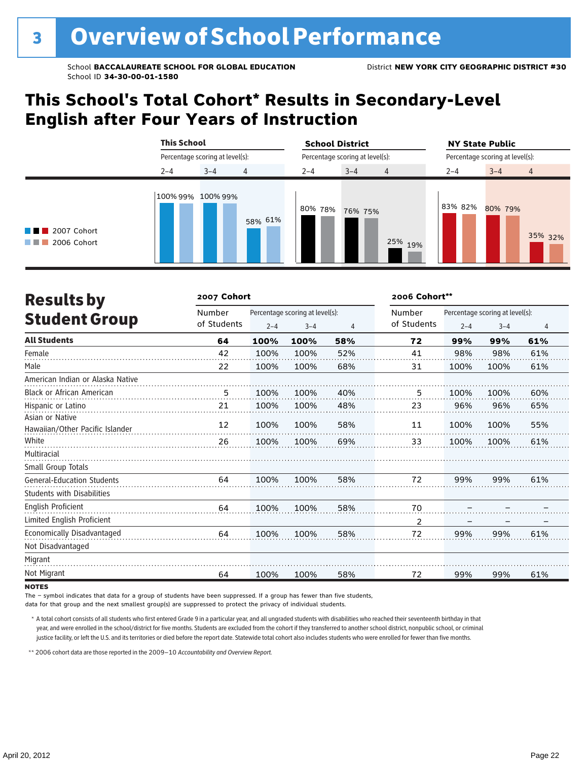# **This School's Total Cohort\* Results in Secondary-Level English after Four Years of Instruction**

|                                                          | <b>This School</b><br>Percentage scoring at level(s):<br>$3 - 4$<br>4<br>$2 - 4$<br>100% 99% 100% 99% |         | <b>School District</b> |                                 | <b>NY State Public</b>          |         |                |  |
|----------------------------------------------------------|-------------------------------------------------------------------------------------------------------|---------|------------------------|---------------------------------|---------------------------------|---------|----------------|--|
|                                                          |                                                                                                       |         |                        | Percentage scoring at level(s): | Percentage scoring at level(s): |         |                |  |
|                                                          |                                                                                                       |         | $2 - 4$                | $3 - 4$<br>$\overline{4}$       | $2 - 4$                         | $3 - 4$ | $\overline{4}$ |  |
| $\blacksquare$ 2007 Cohort<br>$\blacksquare$ 2006 Cohort |                                                                                                       | 58% 61% | 80% 78%                | 76% 75%<br>25%<br>19%           | 83% 82%                         | 80% 79% | 35% 32%        |  |

| <b>Results by</b>                                  | 2007 Cohort           | 2006 Cohort**                   |         |     |                |                                 |         |                |
|----------------------------------------------------|-----------------------|---------------------------------|---------|-----|----------------|---------------------------------|---------|----------------|
| <b>Student Group</b>                               | Number<br>of Students | Percentage scoring at level(s): |         |     | Number         | Percentage scoring at level(s): |         |                |
|                                                    |                       | $2 - 4$                         | $3 - 4$ | 4   | of Students    | $2 - 4$                         | $3 - 4$ | $\overline{4}$ |
| <b>All Students</b>                                | 64                    | 100%                            | 100%    | 58% | 72             | 99%                             | 99%     | 61%            |
| Female                                             | 42                    | 100%                            | 100%    | 52% | 41             | 98%                             | 98%     | 61%            |
| Male                                               | 22                    | 100%                            | 100%    | 68% | 31             | 100%                            | 100%    | 61%            |
| American Indian or Alaska Native                   |                       |                                 |         |     |                |                                 |         |                |
| <b>Black or African American</b>                   | 5                     | 100%                            | 100%    | 40% | 5              | 100%                            | 100%    | 60%            |
| Hispanic or Latino                                 | 21                    | 100%                            | 100%    | 48% | 23             | 96%                             | 96%     | 65%            |
| Asian or Native<br>Hawaiian/Other Pacific Islander | 12                    | 100%                            | 100%    | 58% | 11             | 100%                            | 100%    | 55%            |
| White                                              | 26                    | 100%                            | 100%    | 69% | 33             | 100%                            | 100%    | 61%            |
| Multiracial                                        |                       |                                 |         |     |                |                                 |         |                |
| Small Group Totals                                 |                       |                                 |         |     |                |                                 |         |                |
| <b>General-Education Students</b>                  | 64                    | 100%                            | 100%    | 58% | 72             | 99%                             | 99%     | 61%            |
| <b>Students with Disabilities</b>                  |                       |                                 |         |     |                |                                 |         |                |
| <b>English Proficient</b>                          | 64                    | 100%                            | 100%    | 58% | 70             |                                 |         |                |
| Limited English Proficient                         |                       |                                 |         |     | $\overline{2}$ |                                 |         |                |
| Economically Disadvantaged                         | 64                    | 100%                            | 100%    | 58% | 72             | 99%                             | 99%     | 61%            |
| Not Disadvantaged                                  |                       |                                 |         |     |                |                                 |         |                |
| Migrant                                            |                       |                                 |         |     |                |                                 |         |                |
| Not Migrant                                        | 64                    | 100%                            | 100%    | 58% | 72             | 99%                             | 99%     | 61%            |

### **NOTES**

The – symbol indicates that data for a group of students have been suppressed. If a group has fewer than five students,

data for that group and the next smallest group(s) are suppressed to protect the privacy of individual students.

\* A total cohort consists of all students who first entered Grade 9 in a particular year, and all ungraded students with disabilities who reached their seventeenth birthday in that year, and were enrolled in the school/district for five months. Students are excluded from the cohort if they transferred to another school district, nonpublic school, or criminal justice facility, or left the U.S. and its territories or died before the report date. Statewide total cohort also includes students who were enrolled for fewer than five months.

\*\*2006 cohort data are those reported in the 2009–10 *Accountability and Overview Report*.